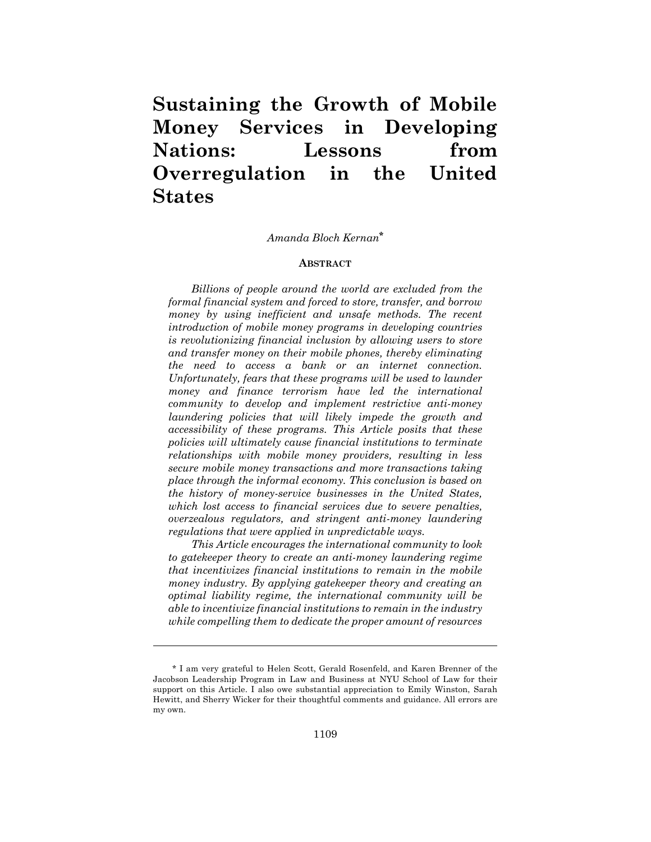# **Sustaining the Growth of Mobile Money Services in Developing Nations: Lessons from Overregulation in the United States**

## *Amanda Bloch Kernan***\***

#### **ABSTRACT**

*Billions of people around the world are excluded from the formal financial system and forced to store, transfer, and borrow money by using inefficient and unsafe methods. The recent introduction of mobile money programs in developing countries is revolutionizing financial inclusion by allowing users to store and transfer money on their mobile phones, thereby eliminating the need to access a bank or an internet connection. Unfortunately, fears that these programs will be used to launder money and finance terrorism have led the international community to develop and implement restrictive anti-money laundering policies that will likely impede the growth and accessibility of these programs. This Article posits that these policies will ultimately cause financial institutions to terminate relationships with mobile money providers, resulting in less secure mobile money transactions and more transactions taking place through the informal economy. This conclusion is based on the history of money-service businesses in the United States, which lost access to financial services due to severe penalties, overzealous regulators, and stringent anti-money laundering regulations that were applied in unpredictable ways.*

*This Article encourages the international community to look to gatekeeper theory to create an anti-money laundering regime that incentivizes financial institutions to remain in the mobile money industry. By applying gatekeeper theory and creating an optimal liability regime, the international community will be able to incentivize financial institutions to remain in the industry while compelling them to dedicate the proper amount of resources* 

<sup>\*</sup> I am very grateful to Helen Scott, Gerald Rosenfeld, and Karen Brenner of the Jacobson Leadership Program in Law and Business at NYU School of Law for their support on this Article. I also owe substantial appreciation to Emily Winston, Sarah Hewitt, and Sherry Wicker for their thoughtful comments and guidance. All errors are my own.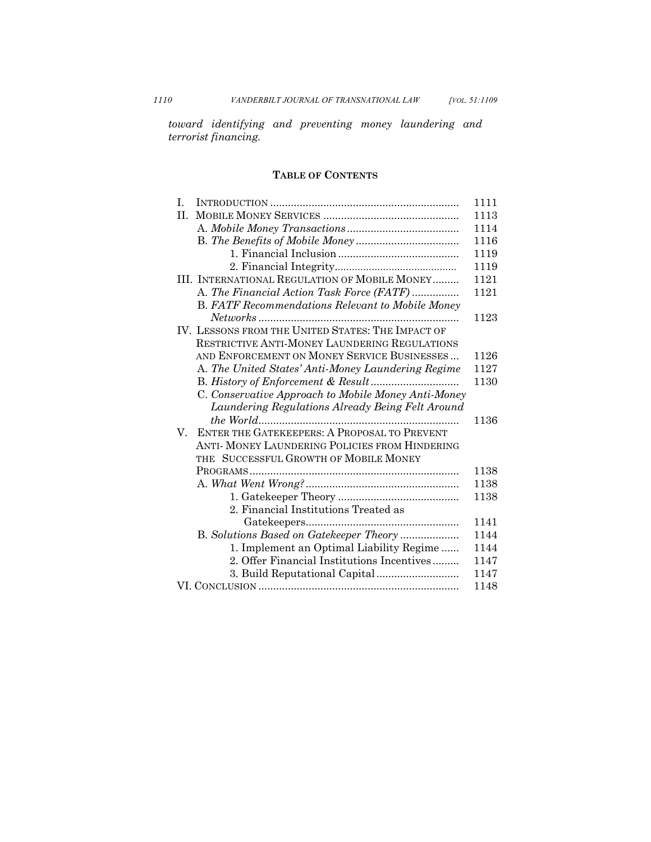*toward identifying and preventing money laundering and terrorist financing.* 

## **TABLE OF CONTENTS**

| $\mathbf{L}$                                            | 1111         |  |  |
|---------------------------------------------------------|--------------|--|--|
| H.                                                      | 1113         |  |  |
|                                                         | 1114         |  |  |
|                                                         | 1116         |  |  |
|                                                         | 1119         |  |  |
|                                                         | 1119         |  |  |
| III. INTERNATIONAL REGULATION OF MOBILE MONEY           | 1121         |  |  |
| A. The Financial Action Task Force (FATF)               | 1121         |  |  |
| <b>B.</b> FATF Recommendations Relevant to Mobile Money |              |  |  |
|                                                         | 1123         |  |  |
| IV. LESSONS FROM THE UNITED STATES: THE IMPACT OF       |              |  |  |
| RESTRICTIVE ANTI-MONEY LAUNDERING REGULATIONS           |              |  |  |
| AND ENFORCEMENT ON MONEY SERVICE BUSINESSES             | 1126         |  |  |
| A. The United States' Anti-Money Laundering Regime      | 1127         |  |  |
|                                                         |              |  |  |
| C. Conservative Approach to Mobile Money Anti-Money     |              |  |  |
| Laundering Regulations Already Being Felt Around        |              |  |  |
|                                                         | 1136         |  |  |
| ENTER THE GATEKEEPERS: A PROPOSAL TO PREVENT<br>V.      |              |  |  |
| ANTI- MONEY LAUNDERING POLICIES FROM HINDERING          |              |  |  |
| THE SUCCESSFUL GROWTH OF MOBILE MONEY                   |              |  |  |
|                                                         | 1138         |  |  |
|                                                         | 1138         |  |  |
|                                                         | 1138         |  |  |
| 2. Financial Institutions Treated as                    |              |  |  |
|                                                         | 1141         |  |  |
| B. Solutions Based on Gatekeeper Theory                 | 1144         |  |  |
| 1. Implement an Optimal Liability Regime                | 1144         |  |  |
| 2. Offer Financial Institutions Incentives              | 1147         |  |  |
|                                                         |              |  |  |
|                                                         | 1147<br>1148 |  |  |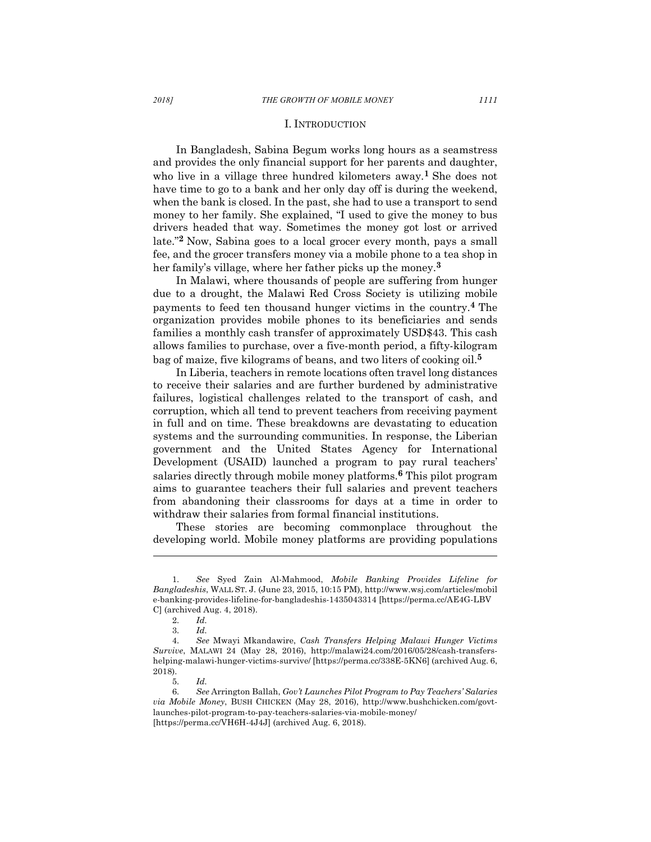In Bangladesh, Sabina Begum works long hours as a seamstress and provides the only financial support for her parents and daughter, who live in a village three hundred kilometers away.**<sup>1</sup>** She does not have time to go to a bank and her only day off is during the weekend, when the bank is closed. In the past, she had to use a transport to send money to her family. She explained, "I used to give the money to bus drivers headed that way. Sometimes the money got lost or arrived late."**<sup>2</sup>** Now, Sabina goes to a local grocer every month, pays a small fee, and the grocer transfers money via a mobile phone to a tea shop in her family's village, where her father picks up the money. **3**

In Malawi, where thousands of people are suffering from hunger due to a drought, the Malawi Red Cross Society is utilizing mobile payments to feed ten thousand hunger victims in the country.**<sup>4</sup>** The organization provides mobile phones to its beneficiaries and sends families a monthly cash transfer of approximately USD\$43. This cash allows families to purchase, over a five-month period, a fifty-kilogram bag of maize, five kilograms of beans, and two liters of cooking oil.**<sup>5</sup>**

In Liberia, teachers in remote locations often travel long distances to receive their salaries and are further burdened by administrative failures, logistical challenges related to the transport of cash, and corruption, which all tend to prevent teachers from receiving payment in full and on time. These breakdowns are devastating to education systems and the surrounding communities. In response, the Liberian government and the United States Agency for International Development (USAID) launched a program to pay rural teachers' salaries directly through mobile money platforms. **<sup>6</sup>** This pilot program aims to guarantee teachers their full salaries and prevent teachers from abandoning their classrooms for days at a time in order to withdraw their salaries from formal financial institutions.

These stories are becoming commonplace throughout the developing world. Mobile money platforms are providing populations

<sup>1.</sup> *See* Syed Zain Al-Mahmood, *Mobile Banking Provides Lifeline for Bangladeshis*, WALL ST. J. (June 23, 2015, 10:15 PM), http://www.wsj.com/articles/mobil e-banking-provides-lifeline-for-bangladeshis-1435043314 [https://perma.cc/AE4G-LBV C] (archived Aug. 4, 2018).

<sup>2.</sup> *Id.* 3. *Id.*

<sup>4.</sup> *See* Mwayi Mkandawire, *Cash Transfers Helping Malawi Hunger Victims Survive*, MALAWI 24 (May 28, 2016), http://malawi24.com/2016/05/28/cash-transfershelping-malawi-hunger-victims-survive/ [https://perma.cc/338E-5KN6] (archived Aug. 6, 2018).

<sup>5.</sup> *Id.*

<sup>6.</sup> *See* Arrington Ballah, *Gov't Launches Pilot Program to Pay Teachers' Salaries via Mobile Money*, BUSH CHICKEN (May 28, 2016), http://www.bushchicken.com/govtlaunches-pilot-program-to-pay-teachers-salaries-via-mobile-money/ [https://perma.cc/VH6H-4J4J] (archived Aug. 6, 2018).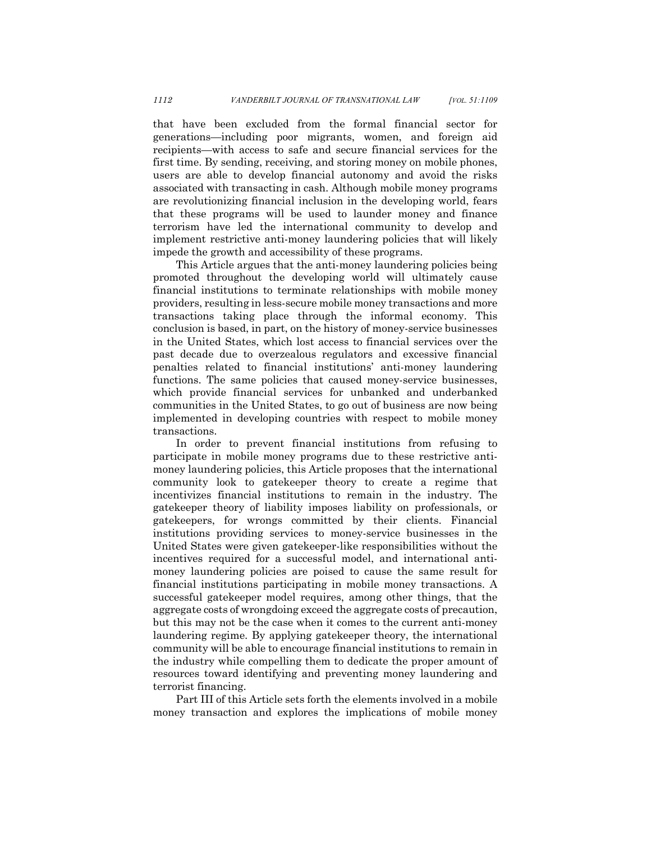that have been excluded from the formal financial sector for generations—including poor migrants, women, and foreign aid recipients—with access to safe and secure financial services for the first time. By sending, receiving, and storing money on mobile phones, users are able to develop financial autonomy and avoid the risks associated with transacting in cash. Although mobile money programs are revolutionizing financial inclusion in the developing world, fears that these programs will be used to launder money and finance terrorism have led the international community to develop and implement restrictive anti-money laundering policies that will likely impede the growth and accessibility of these programs.

This Article argues that the anti-money laundering policies being promoted throughout the developing world will ultimately cause financial institutions to terminate relationships with mobile money providers, resulting in less-secure mobile money transactions and more transactions taking place through the informal economy. This conclusion is based, in part, on the history of money-service businesses in the United States, which lost access to financial services over the past decade due to overzealous regulators and excessive financial penalties related to financial institutions' anti-money laundering functions. The same policies that caused money-service businesses, which provide financial services for unbanked and underbanked communities in the United States, to go out of business are now being implemented in developing countries with respect to mobile money transactions.

In order to prevent financial institutions from refusing to participate in mobile money programs due to these restrictive antimoney laundering policies, this Article proposes that the international community look to gatekeeper theory to create a regime that incentivizes financial institutions to remain in the industry. The gatekeeper theory of liability imposes liability on professionals, or gatekeepers, for wrongs committed by their clients. Financial institutions providing services to money-service businesses in the United States were given gatekeeper-like responsibilities without the incentives required for a successful model, and international antimoney laundering policies are poised to cause the same result for financial institutions participating in mobile money transactions. A successful gatekeeper model requires, among other things, that the aggregate costs of wrongdoing exceed the aggregate costs of precaution, but this may not be the case when it comes to the current anti-money laundering regime. By applying gatekeeper theory, the international community will be able to encourage financial institutions to remain in the industry while compelling them to dedicate the proper amount of resources toward identifying and preventing money laundering and terrorist financing.

Part III of this Article sets forth the elements involved in a mobile money transaction and explores the implications of mobile money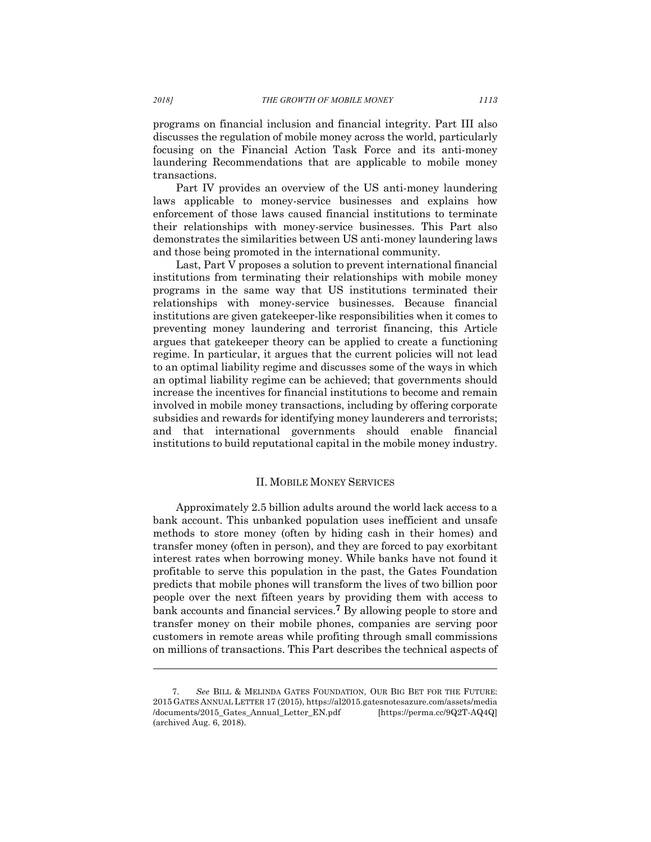programs on financial inclusion and financial integrity. Part III also discusses the regulation of mobile money across the world, particularly focusing on the Financial Action Task Force and its anti-money laundering Recommendations that are applicable to mobile money transactions.

Part IV provides an overview of the US anti-money laundering laws applicable to money-service businesses and explains how enforcement of those laws caused financial institutions to terminate their relationships with money-service businesses. This Part also demonstrates the similarities between US anti-money laundering laws and those being promoted in the international community.

Last, Part V proposes a solution to prevent international financial institutions from terminating their relationships with mobile money programs in the same way that US institutions terminated their relationships with money-service businesses. Because financial institutions are given gatekeeper-like responsibilities when it comes to preventing money laundering and terrorist financing, this Article argues that gatekeeper theory can be applied to create a functioning regime. In particular, it argues that the current policies will not lead to an optimal liability regime and discusses some of the ways in which an optimal liability regime can be achieved; that governments should increase the incentives for financial institutions to become and remain involved in mobile money transactions, including by offering corporate subsidies and rewards for identifying money launderers and terrorists; and that international governments should enable financial institutions to build reputational capital in the mobile money industry.

#### II. MOBILE MONEY SERVICES

Approximately 2.5 billion adults around the world lack access to a bank account. This unbanked population uses inefficient and unsafe methods to store money (often by hiding cash in their homes) and transfer money (often in person), and they are forced to pay exorbitant interest rates when borrowing money. While banks have not found it profitable to serve this population in the past, the Gates Foundation predicts that mobile phones will transform the lives of two billion poor people over the next fifteen years by providing them with access to bank accounts and financial services. **<sup>7</sup>** By allowing people to store and transfer money on their mobile phones, companies are serving poor customers in remote areas while profiting through small commissions on millions of transactions. This Part describes the technical aspects of

<sup>7.</sup> *See* BILL & MELINDA GATES FOUNDATION, OUR BIG BET FOR THE FUTURE: 2015 GATES ANNUAL LETTER 17 (2015), https://al2015.gatesnotesazure.com/assets/media /documents/2015\_Gates\_Annual\_Letter\_EN.pdf [https://perma.cc/9Q2T-AQ4Q] (archived Aug. 6, 2018).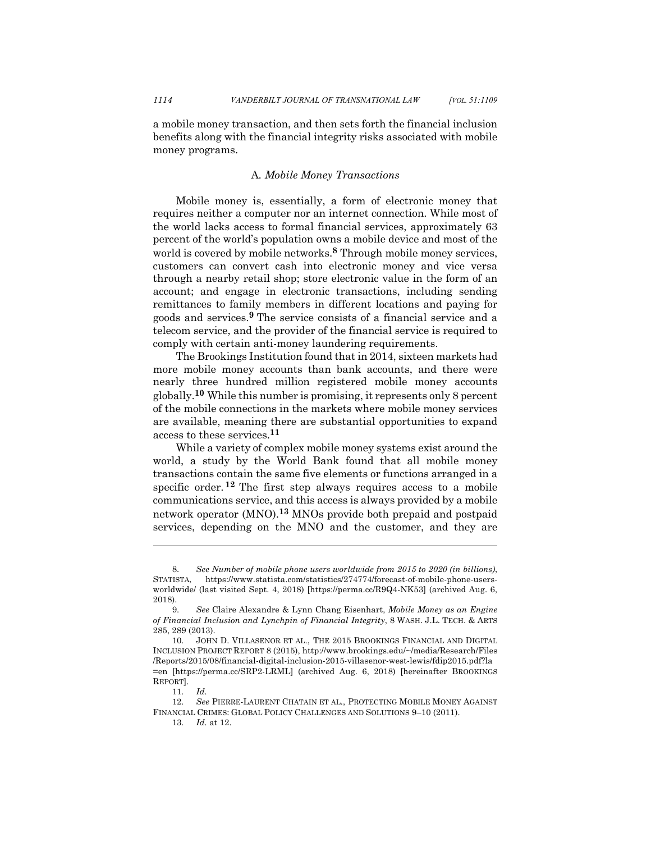a mobile money transaction, and then sets forth the financial inclusion benefits along with the financial integrity risks associated with mobile money programs.

## A*. Mobile Money Transactions*

Mobile money is, essentially, a form of electronic money that requires neither a computer nor an internet connection. While most of the world lacks access to formal financial services, approximately 63 percent of the world's population owns a mobile device and most of the world is covered by mobile networks. **<sup>8</sup>** Through mobile money services, customers can convert cash into electronic money and vice versa through a nearby retail shop; store electronic value in the form of an account; and engage in electronic transactions, including sending remittances to family members in different locations and paying for goods and services.**<sup>9</sup>** The service consists of a financial service and a telecom service, and the provider of the financial service is required to comply with certain anti-money laundering requirements.

The Brookings Institution found that in 2014, sixteen markets had more mobile money accounts than bank accounts, and there were nearly three hundred million registered mobile money accounts globally.**<sup>10</sup>** While this number is promising, it represents only 8 percent of the mobile connections in the markets where mobile money services are available, meaning there are substantial opportunities to expand access to these services.**<sup>11</sup>**

While a variety of complex mobile money systems exist around the world, a study by the World Bank found that all mobile money transactions contain the same five elements or functions arranged in a specific order. **<sup>12</sup>** The first step always requires access to a mobile communications service, and this access is always provided by a mobile network operator (MNO). **<sup>13</sup>** MNOs provide both prepaid and postpaid services, depending on the MNO and the customer, and they are

<sup>8.</sup> *See Number of mobile phone users worldwide from 2015 to 2020 (in billions)*, https://www.statista.com/statistics/274774/forecast-of-mobile-phone-usersworldwide/ (last visited Sept. 4, 2018) [https://perma.cc/R9Q4-NK53] (archived Aug. 6, 2018).

<sup>9.</sup> *See* Claire Alexandre & Lynn Chang Eisenhart, *Mobile Money as an Engine of Financial Inclusion and Lynchpin of Financial Integrity*, 8 WASH. J.L. TECH. & ARTS 285, 289 (2013).

<sup>10.</sup> JOHN D. VILLASENOR ET AL., THE 2015 BROOKINGS FINANCIAL AND DIGITAL INCLUSION PROJECT REPORT 8 (2015), http://www.brookings.edu/~/media/Research/Files /Reports/2015/08/financial-digital-inclusion-2015-villasenor-west-lewis/fdip2015.pdf?la =en [https://perma.cc/SRP2-LRML] (archived Aug. 6, 2018) [hereinafter BROOKINGS REPORT].

<sup>11.</sup> *Id.*

<sup>12.</sup> *See* PIERRE-LAURENT CHATAIN ET AL., PROTECTING MOBILE MONEY AGAINST FINANCIAL CRIMES: GLOBAL POLICY CHALLENGES AND SOLUTIONS 9–10 (2011).

<sup>13.</sup> *Id.* at 12.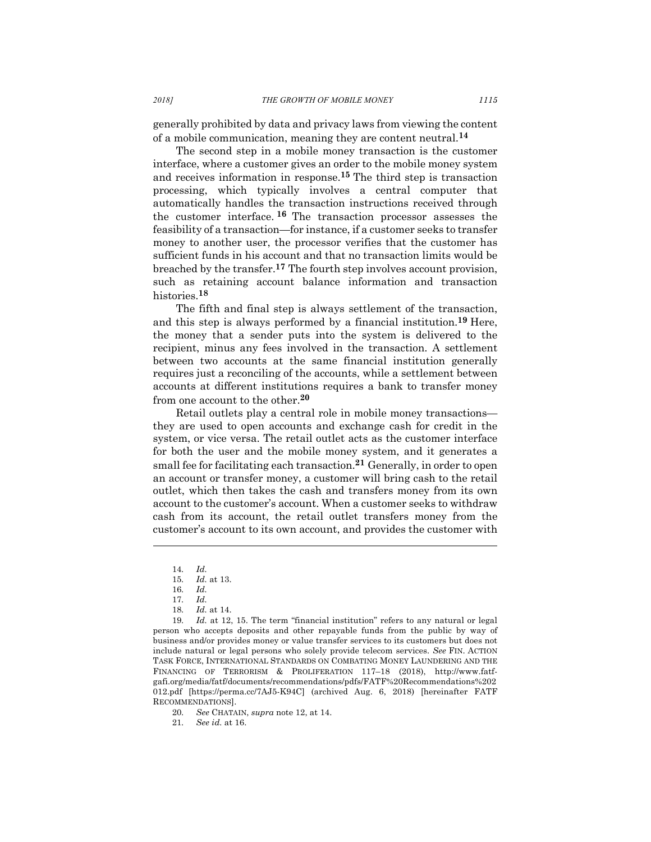generally prohibited by data and privacy laws from viewing the content of a mobile communication, meaning they are content neutral. **14**

The second step in a mobile money transaction is the customer interface, where a customer gives an order to the mobile money system and receives information in response. **<sup>15</sup>** The third step is transaction processing, which typically involves a central computer that automatically handles the transaction instructions received through the customer interface. **<sup>16</sup>** The transaction processor assesses the feasibility of a transaction—for instance, if a customer seeks to transfer money to another user, the processor verifies that the customer has sufficient funds in his account and that no transaction limits would be breached by the transfer. **<sup>17</sup>** The fourth step involves account provision, such as retaining account balance information and transaction histories.**<sup>18</sup>**

The fifth and final step is always settlement of the transaction, and this step is always performed by a financial institution.**<sup>19</sup>** Here, the money that a sender puts into the system is delivered to the recipient, minus any fees involved in the transaction. A settlement between two accounts at the same financial institution generally requires just a reconciling of the accounts, while a settlement between accounts at different institutions requires a bank to transfer money from one account to the other.**<sup>20</sup>**

Retail outlets play a central role in mobile money transactions they are used to open accounts and exchange cash for credit in the system, or vice versa. The retail outlet acts as the customer interface for both the user and the mobile money system, and it generates a small fee for facilitating each transaction.**<sup>21</sup>** Generally, in order to open an account or transfer money, a customer will bring cash to the retail outlet, which then takes the cash and transfers money from its own account to the customer's account. When a customer seeks to withdraw cash from its account, the retail outlet transfers money from the customer's account to its own account, and provides the customer with

l

18. *Id.* at 14.

19. *Id.* at 12, 15. The term "financial institution" refers to any natural or legal person who accepts deposits and other repayable funds from the public by way of business and/or provides money or value transfer services to its customers but does not include natural or legal persons who solely provide telecom services. *See* FIN. ACTION TASK FORCE, INTERNATIONAL STANDARDS ON COMBATING MONEY LAUNDERING AND THE FINANCING OF TERRORISM & PROLIFERATION 117–18 (2018), http://www.fatfgafi.org/media/fatf/documents/recommendations/pdfs/FATF%20Recommendations%202 012.pdf [https://perma.cc/7AJ5-K94C] (archived Aug. 6, 2018) [hereinafter FATF RECOMMENDATIONS].

<sup>14.</sup> *Id.*

<sup>15.</sup> *Id.* at 13.

<sup>16.</sup> *Id.*

<sup>17.</sup> *Id.*

<sup>20.</sup> *See* CHATAIN, *supra* note 12, at 14.

<sup>21.</sup> *See id.* at 16.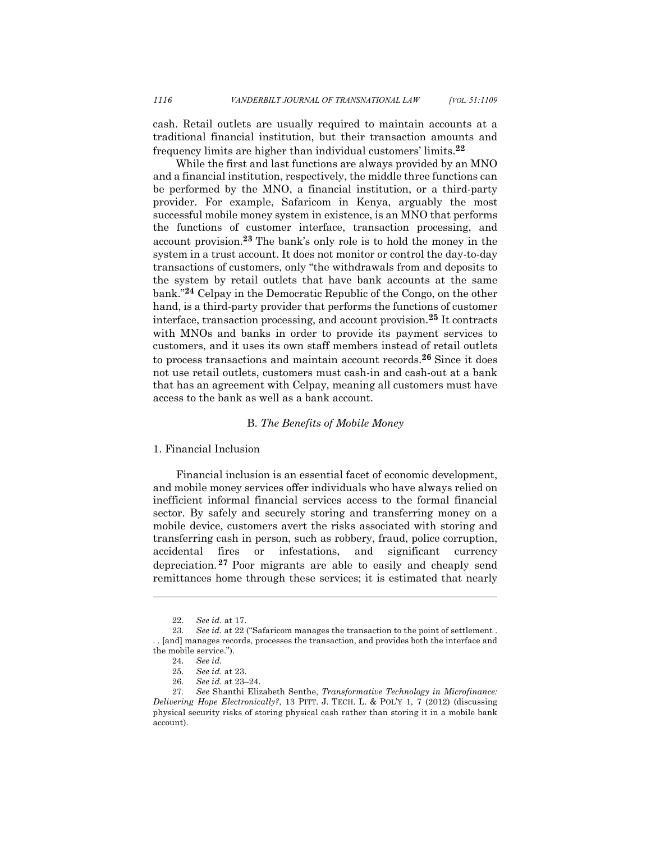cash. Retail outlets are usually required to maintain accounts at a traditional financial institution, but their transaction amounts and frequency limits are higher than individual customers' limits.**<sup>22</sup>**

While the first and last functions are always provided by an MNO and a financial institution, respectively, the middle three functions can be performed by the MNO, a financial institution, or a third-party provider. For example, Safaricom in Kenya, arguably the most successful mobile money system in existence, is an MNO that performs the functions of customer interface, transaction processing, and account provision.**<sup>23</sup>** The bank's only role is to hold the money in the system in a trust account. It does not monitor or control the day-to-day transactions of customers, only "the withdrawals from and deposits to the system by retail outlets that have bank accounts at the same bank."**<sup>24</sup>** Celpay in the Democratic Republic of the Congo, on the other hand, is a third-party provider that performs the functions of customer interface, transaction processing, and account provision.**<sup>25</sup>** It contracts with MNOs and banks in order to provide its payment services to customers, and it uses its own staff members instead of retail outlets to process transactions and maintain account records.**<sup>26</sup>** Since it does not use retail outlets, customers must cash-in and cash-out at a bank that has an agreement with Celpay, meaning all customers must have access to the bank as well as a bank account.

#### B. *The Benefits of Mobile Money*

## 1. Financial Inclusion

Financial inclusion is an essential facet of economic development, and mobile money services offer individuals who have always relied on inefficient informal financial services access to the formal financial sector. By safely and securely storing and transferring money on a mobile device, customers avert the risks associated with storing and transferring cash in person, such as robbery, fraud, police corruption, accidental fires or infestations, and significant currency depreciation. **<sup>27</sup>** Poor migrants are able to easily and cheaply send remittances home through these services; it is estimated that nearly

<sup>22.</sup> *See id.* at 17.

<sup>23.</sup> *See id.* at 22 ("Safaricom manages the transaction to the point of settlement . . . [and] manages records, processes the transaction, and provides both the interface and the mobile service.").

<sup>24.</sup> *See id.*

<sup>25.</sup> *See id.* at 23.

<sup>26.</sup> *See id.* at 23–24.

<sup>27</sup>*. See* Shanthi Elizabeth Senthe, *Transformative Technology in Microfinance: Delivering Hope Electronically?*, 13 PITT. J. TECH. L. & POL'Y 1, 7 (2012) (discussing physical security risks of storing physical cash rather than storing it in a mobile bank account).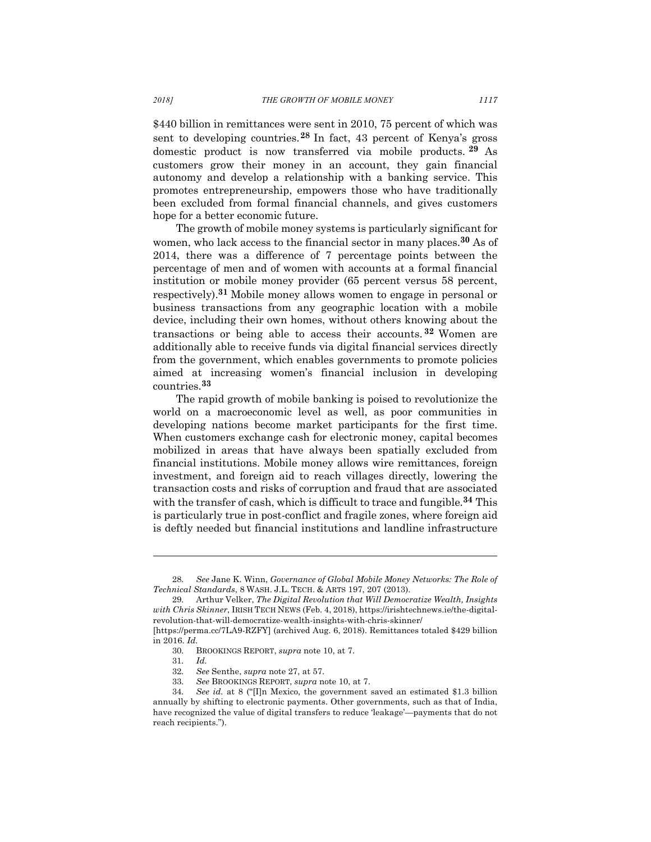\$440 billion in remittances were sent in 2010, 75 percent of which was sent to developing countries.**<sup>28</sup>** In fact, 43 percent of Kenya's gross domestic product is now transferred via mobile products. **<sup>29</sup>** As customers grow their money in an account, they gain financial autonomy and develop a relationship with a banking service. This promotes entrepreneurship, empowers those who have traditionally been excluded from formal financial channels, and gives customers hope for a better economic future.

The growth of mobile money systems is particularly significant for women, who lack access to the financial sector in many places.**<sup>30</sup>** As of 2014, there was a difference of 7 percentage points between the percentage of men and of women with accounts at a formal financial institution or mobile money provider (65 percent versus 58 percent, respectively).**<sup>31</sup>** Mobile money allows women to engage in personal or business transactions from any geographic location with a mobile device, including their own homes, without others knowing about the transactions or being able to access their accounts. **<sup>32</sup>** Women are additionally able to receive funds via digital financial services directly from the government, which enables governments to promote policies aimed at increasing women's financial inclusion in developing countries.**<sup>33</sup>**

The rapid growth of mobile banking is poised to revolutionize the world on a macroeconomic level as well, as poor communities in developing nations become market participants for the first time. When customers exchange cash for electronic money, capital becomes mobilized in areas that have always been spatially excluded from financial institutions. Mobile money allows wire remittances, foreign investment, and foreign aid to reach villages directly, lowering the transaction costs and risks of corruption and fraud that are associated with the transfer of cash, which is difficult to trace and fungible.**<sup>34</sup>** This is particularly true in post-conflict and fragile zones, where foreign aid is deftly needed but financial institutions and landline infrastructure

<sup>28.</sup> *See* Jane K. Winn, *Governance of Global Mobile Money Networks: The Role of Technical Standards*, 8 WASH. J.L. TECH. & ARTS 197, 207 (2013).

<sup>29.</sup> Arthur Velker, *The Digital Revolution that Will Democratize Wealth, Insights with Chris Skinner*, IRISH TECH NEWS (Feb. 4, 2018), https://irishtechnews.ie/the-digitalrevolution-that-will-democratize-wealth-insights-with-chris-skinner/

<sup>[</sup>https://perma.cc/7LA9-RZFY] (archived Aug. 6, 2018). Remittances totaled \$429 billion in 2016. *Id.*

<sup>30.</sup> BROOKINGS REPORT, *supra* note 10, at 7.

<sup>31.</sup> *Id.*

<sup>32.</sup> *See* Senthe, *supra* note 27, at 57.

<sup>33.</sup> *See* BROOKINGS REPORT, *supra* note 10, at 7.

<sup>34.</sup> *See id.* at 8 ("[I]n Mexico, the government saved an estimated \$1.3 billion annually by shifting to electronic payments. Other governments, such as that of India, have recognized the value of digital transfers to reduce 'leakage'—payments that do not reach recipients.").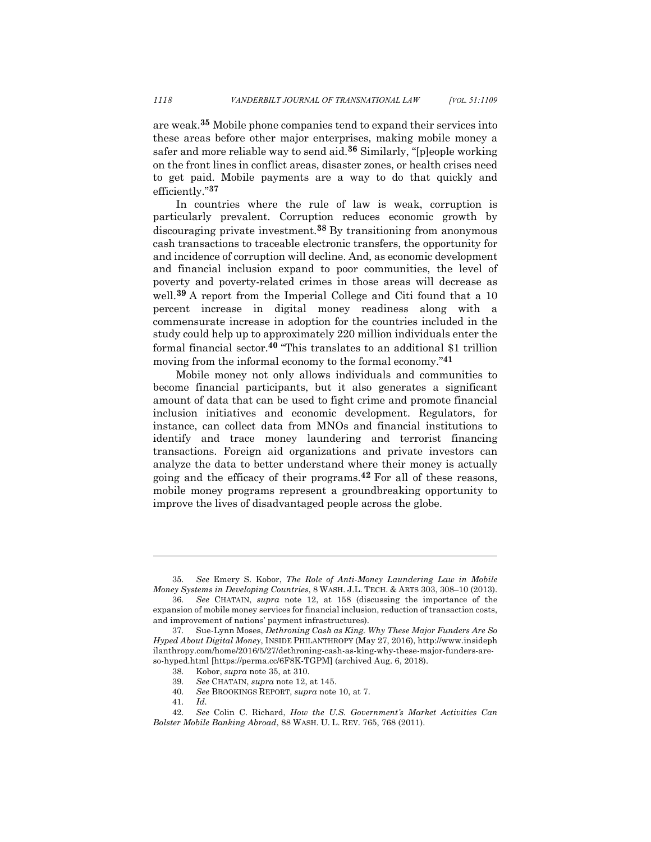are weak.**<sup>35</sup>** Mobile phone companies tend to expand their services into these areas before other major enterprises, making mobile money a safer and more reliable way to send aid.**<sup>36</sup>** Similarly, "[p]eople working on the front lines in conflict areas, disaster zones, or health crises need to get paid. Mobile payments are a way to do that quickly and efficiently."**<sup>37</sup>**

In countries where the rule of law is weak, corruption is particularly prevalent. Corruption reduces economic growth by discouraging private investment.**<sup>38</sup>** By transitioning from anonymous cash transactions to traceable electronic transfers, the opportunity for and incidence of corruption will decline. And, as economic development and financial inclusion expand to poor communities, the level of poverty and poverty-related crimes in those areas will decrease as well.**<sup>39</sup>** A report from the Imperial College and Citi found that a 10 percent increase in digital money readiness along with a commensurate increase in adoption for the countries included in the study could help up to approximately 220 million individuals enter the formal financial sector.**<sup>40</sup>** "This translates to an additional \$1 trillion moving from the informal economy to the formal economy."**<sup>41</sup>**

Mobile money not only allows individuals and communities to become financial participants, but it also generates a significant amount of data that can be used to fight crime and promote financial inclusion initiatives and economic development. Regulators, for instance, can collect data from MNOs and financial institutions to identify and trace money laundering and terrorist financing transactions. Foreign aid organizations and private investors can analyze the data to better understand where their money is actually going and the efficacy of their programs.**<sup>42</sup>** For all of these reasons, mobile money programs represent a groundbreaking opportunity to improve the lives of disadvantaged people across the globe.

<sup>35.</sup> *See* Emery S. Kobor, *The Role of Anti-Money Laundering Law in Mobile Money Systems in Developing Countries*, 8 WASH. J.L. TECH. & ARTS 303, 308–10 (2013).

<sup>36.</sup> *See* CHATAIN, *supra* note 12, at 158 (discussing the importance of the expansion of mobile money services for financial inclusion, reduction of transaction costs, and improvement of nations' payment infrastructures).

<sup>37.</sup> Sue-Lynn Moses, *Dethroning Cash as King. Why These Major Funders Are So Hyped About Digital Money*, INSIDE PHILANTHROPY (May 27, 2016), http://www.insideph ilanthropy.com/home/2016/5/27/dethroning-cash-as-king-why-these-major-funders-areso-hyped.html [https://perma.cc/6F8K-TGPM] (archived Aug. 6, 2018).

<sup>38.</sup> Kobor, *supra* note 35, at 310.

<sup>39.</sup> *See* CHATAIN, *supra* note 12, at 145.

<sup>40.</sup> *See* BROOKINGS REPORT, *supra* note 10, at 7.

<sup>41.</sup> *Id.*

<sup>42.</sup> *See* Colin C. Richard, *How the U.S. Government's Market Activities Can Bolster Mobile Banking Abroad*, 88 WASH. U. L. REV. 765, 768 (2011).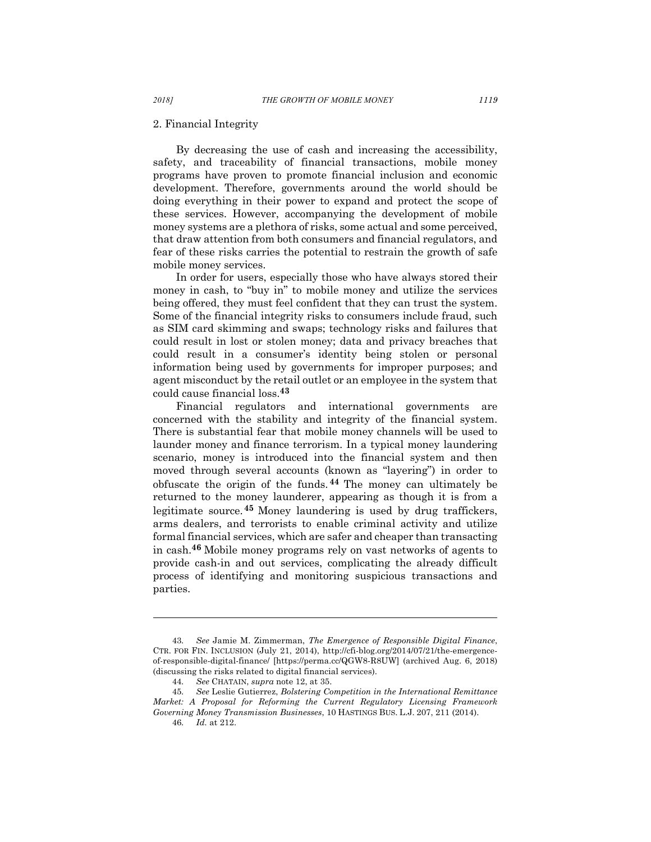#### 2. Financial Integrity

By decreasing the use of cash and increasing the accessibility, safety, and traceability of financial transactions, mobile money programs have proven to promote financial inclusion and economic development. Therefore, governments around the world should be doing everything in their power to expand and protect the scope of these services. However, accompanying the development of mobile money systems are a plethora of risks, some actual and some perceived, that draw attention from both consumers and financial regulators, and fear of these risks carries the potential to restrain the growth of safe mobile money services.

In order for users, especially those who have always stored their money in cash, to "buy in" to mobile money and utilize the services being offered, they must feel confident that they can trust the system. Some of the financial integrity risks to consumers include fraud, such as SIM card skimming and swaps; technology risks and failures that could result in lost or stolen money; data and privacy breaches that could result in a consumer's identity being stolen or personal information being used by governments for improper purposes; and agent misconduct by the retail outlet or an employee in the system that could cause financial loss.**<sup>43</sup>**

Financial regulators and international governments are concerned with the stability and integrity of the financial system. There is substantial fear that mobile money channels will be used to launder money and finance terrorism. In a typical money laundering scenario, money is introduced into the financial system and then moved through several accounts (known as "layering") in order to obfuscate the origin of the funds. **<sup>44</sup>** The money can ultimately be returned to the money launderer, appearing as though it is from a legitimate source.**<sup>45</sup>** Money laundering is used by drug traffickers, arms dealers, and terrorists to enable criminal activity and utilize formal financial services, which are safer and cheaper than transacting in cash. **<sup>46</sup>** Mobile money programs rely on vast networks of agents to provide cash-in and out services, complicating the already difficult process of identifying and monitoring suspicious transactions and parties.

<sup>43.</sup> *See* Jamie M. Zimmerman, *The Emergence of Responsible Digital Finance*, CTR. FOR FIN. INCLUSION (July 21, 2014), http://cfi-blog.org/2014/07/21/the-emergenceof-responsible-digital-finance/ [https://perma.cc/QGW8-R8UW] (archived Aug. 6, 2018) (discussing the risks related to digital financial services).

<sup>44.</sup> *See* CHATAIN, *supra* note 12, at 35.

<sup>45.</sup> *See* Leslie Gutierrez, *Bolstering Competition in the International Remittance Market: A Proposal for Reforming the Current Regulatory Licensing Framework Governing Money Transmission Businesses*, 10 HASTINGS BUS. L.J. 207, 211 (2014).

<sup>46.</sup> *Id.* at 212.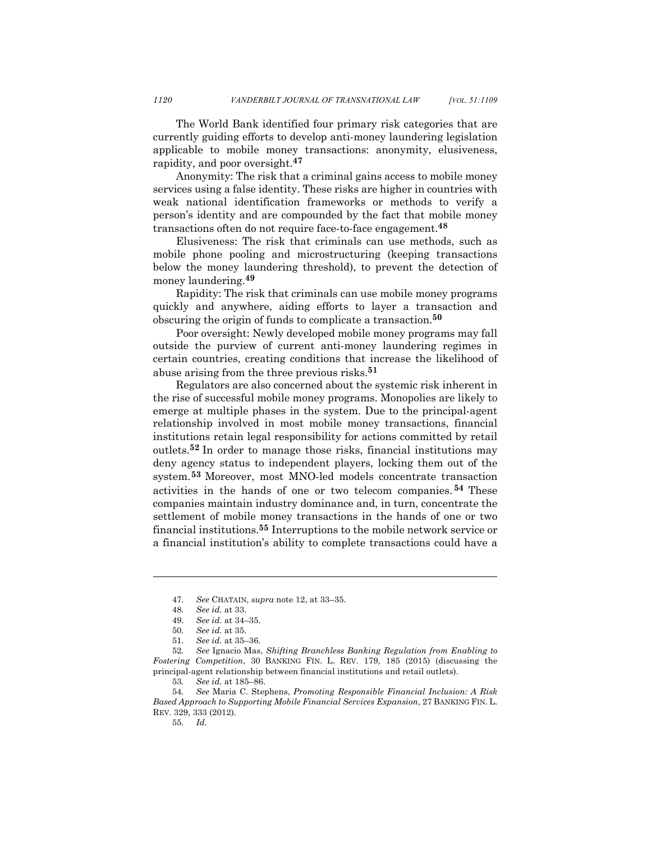The World Bank identified four primary risk categories that are currently guiding efforts to develop anti-money laundering legislation applicable to mobile money transactions: anonymity, elusiveness, rapidity, and poor oversight.**<sup>47</sup>**

Anonymity: The risk that a criminal gains access to mobile money services using a false identity. These risks are higher in countries with weak national identification frameworks or methods to verify a person's identity and are compounded by the fact that mobile money transactions often do not require face-to-face engagement.**<sup>48</sup>**

Elusiveness: The risk that criminals can use methods, such as mobile phone pooling and microstructuring (keeping transactions below the money laundering threshold), to prevent the detection of money laundering.**<sup>49</sup>**

Rapidity: The risk that criminals can use mobile money programs quickly and anywhere, aiding efforts to layer a transaction and obscuring the origin of funds to complicate a transaction. **50**

Poor oversight: Newly developed mobile money programs may fall outside the purview of current anti-money laundering regimes in certain countries, creating conditions that increase the likelihood of abuse arising from the three previous risks.**<sup>51</sup>**

Regulators are also concerned about the systemic risk inherent in the rise of successful mobile money programs. Monopolies are likely to emerge at multiple phases in the system. Due to the principal-agent relationship involved in most mobile money transactions, financial institutions retain legal responsibility for actions committed by retail outlets.**<sup>52</sup>** In order to manage those risks, financial institutions may deny agency status to independent players, locking them out of the system.**<sup>53</sup>** Moreover, most MNO-led models concentrate transaction activities in the hands of one or two telecom companies. **<sup>54</sup>** These companies maintain industry dominance and, in turn, concentrate the settlement of mobile money transactions in the hands of one or two financial institutions. **<sup>55</sup>** Interruptions to the mobile network service or a financial institution's ability to complete transactions could have a

<sup>47.</sup> *See* CHATAIN, *supra* note 12, at 33–35.

<sup>48.</sup> *See id.* at 33.

<sup>49.</sup> *See id.* at 34–35.

<sup>50.</sup> *See id.* at 35.

<sup>51.</sup> *See id.* at 35–36.

<sup>52.</sup> *See* Ignacio Mas, *Shifting Branchless Banking Regulation from Enabling to Fostering Competition*, 30 BANKING FIN. L. REV. 179, 185 (2015) (discussing the principal-agent relationship between financial institutions and retail outlets).

<sup>53.</sup> *See id.* at 185–86.

<sup>54.</sup> *See* Maria C. Stephens, *Promoting Responsible Financial Inclusion: A Risk Based Approach to Supporting Mobile Financial Services Expansion*, 27 BANKING FIN. L. REV. 329, 333 (2012).

<sup>55.</sup> *Id.*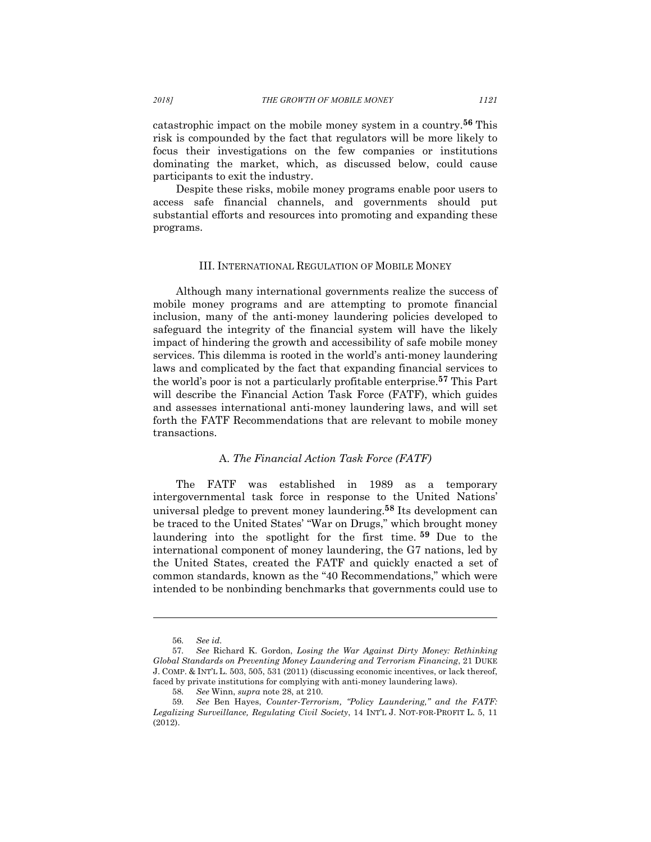catastrophic impact on the mobile money system in a country.**<sup>56</sup>** This risk is compounded by the fact that regulators will be more likely to focus their investigations on the few companies or institutions dominating the market, which, as discussed below, could cause participants to exit the industry.

Despite these risks, mobile money programs enable poor users to access safe financial channels, and governments should put substantial efforts and resources into promoting and expanding these programs.

#### III. INTERNATIONAL REGULATION OF MOBILE MONEY

Although many international governments realize the success of mobile money programs and are attempting to promote financial inclusion, many of the anti-money laundering policies developed to safeguard the integrity of the financial system will have the likely impact of hindering the growth and accessibility of safe mobile money services. This dilemma is rooted in the world's anti-money laundering laws and complicated by the fact that expanding financial services to the world's poor is not a particularly profitable enterprise.**<sup>57</sup>** This Part will describe the Financial Action Task Force (FATF), which guides and assesses international anti-money laundering laws, and will set forth the FATF Recommendations that are relevant to mobile money transactions.

## A. *The Financial Action Task Force (FATF)*

The FATF was established in 1989 as a temporary intergovernmental task force in response to the United Nations' universal pledge to prevent money laundering.**<sup>58</sup>** Its development can be traced to the United States' "War on Drugs," which brought money laundering into the spotlight for the first time. **<sup>59</sup>** Due to the international component of money laundering, the G7 nations, led by the United States, created the FATF and quickly enacted a set of common standards, known as the "40 Recommendations," which were intended to be nonbinding benchmarks that governments could use to

<sup>56.</sup> *See id.*

<sup>57.</sup> *See* Richard K. Gordon, *Losing the War Against Dirty Money: Rethinking Global Standards on Preventing Money Laundering and Terrorism Financing*, 21 DUKE J. COMP. & INT'L L. 503, 505, 531 (2011) (discussing economic incentives, or lack thereof, faced by private institutions for complying with anti-money laundering laws).

<sup>58.</sup> *See* Winn, *supra* note 28, at 210.

<sup>59.</sup> *See* Ben Hayes, *Counter-Terrorism, "Policy Laundering," and the FATF: Legalizing Surveillance, Regulating Civil Society*, 14 INT'L J. NOT-FOR-PROFIT L. 5, 11  $(2012)$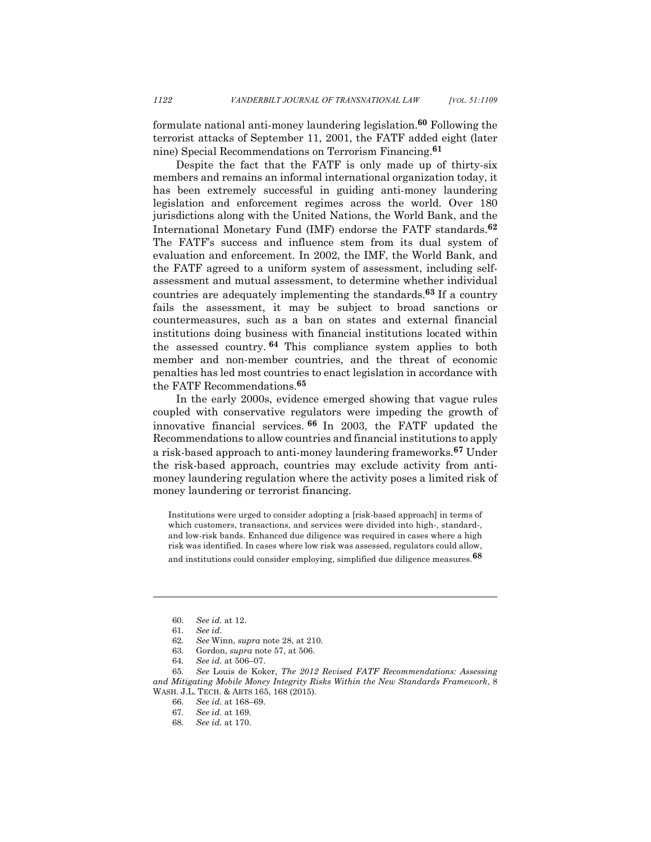formulate national anti-money laundering legislation.**<sup>60</sup>** Following the terrorist attacks of September 11, 2001, the FATF added eight (later nine) Special Recommendations on Terrorism Financing. **61**

Despite the fact that the FATF is only made up of thirty-six members and remains an informal international organization today, it has been extremely successful in guiding anti-money laundering legislation and enforcement regimes across the world. Over 180 jurisdictions along with the United Nations, the World Bank, and the International Monetary Fund (IMF) endorse the FATF standards.**<sup>62</sup>** The FATF's success and influence stem from its dual system of evaluation and enforcement. In 2002, the IMF, the World Bank, and the FATF agreed to a uniform system of assessment, including selfassessment and mutual assessment, to determine whether individual countries are adequately implementing the standards. **<sup>63</sup>** If a country fails the assessment, it may be subject to broad sanctions or countermeasures, such as a ban on states and external financial institutions doing business with financial institutions located within the assessed country. **<sup>64</sup>** This compliance system applies to both member and non-member countries, and the threat of economic penalties has led most countries to enact legislation in accordance with the FATF Recommendations.**<sup>65</sup>**

In the early 2000s, evidence emerged showing that vague rules coupled with conservative regulators were impeding the growth of innovative financial services. **<sup>66</sup>** In 2003, the FATF updated the Recommendations to allow countries and financial institutions to apply a risk-based approach to anti-money laundering frameworks. **<sup>67</sup>** Under the risk-based approach, countries may exclude activity from antimoney laundering regulation where the activity poses a limited risk of money laundering or terrorist financing.

Institutions were urged to consider adopting a [risk-based approach] in terms of which customers, transactions, and services were divided into high-, standard-, and low-risk bands. Enhanced due diligence was required in cases where a high risk was identified. In cases where low risk was assessed, regulators could allow, and institutions could consider employing, simplified due diligence measures.**68**

<sup>60.</sup> *See id.* at 12.

<sup>61.</sup> *See id.*

<sup>62.</sup> *See* Winn, *supra* note 28, at 210.

<sup>63.</sup> Gordon, *supra* note 57, at 506.

<sup>64.</sup> *See id.* at 506–07.

<sup>65.</sup> *See* Louis de Koker, *The 2012 Revised FATF Recommendations: Assessing and Mitigating Mobile Money Integrity Risks Within the New Standards Framework*, 8 WASH. J.L. TECH. & ARTS 165, 168 (2015).

<sup>66.</sup> *See id.* at 168–69.

<sup>67.</sup> *See id.* at 169.

<sup>68.</sup> *See id.* at 170.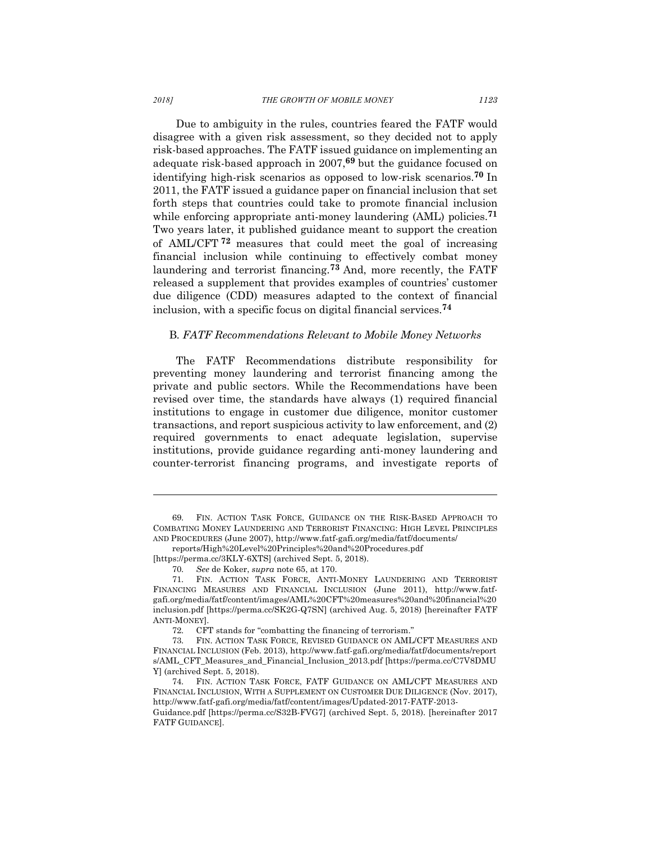Due to ambiguity in the rules, countries feared the FATF would disagree with a given risk assessment, so they decided not to apply risk-based approaches. The FATF issued guidance on implementing an adequate risk-based approach in 2007,**<sup>69</sup>** but the guidance focused on identifying high-risk scenarios as opposed to low-risk scenarios.**<sup>70</sup>** In 2011, the FATF issued a guidance paper on financial inclusion that set forth steps that countries could take to promote financial inclusion while enforcing appropriate anti-money laundering (AML) policies.**<sup>71</sup>** Two years later, it published guidance meant to support the creation of AML/CFT **<sup>72</sup>** measures that could meet the goal of increasing financial inclusion while continuing to effectively combat money laundering and terrorist financing.**<sup>73</sup>** And, more recently, the FATF released a supplement that provides examples of countries' customer due diligence (CDD) measures adapted to the context of financial inclusion, with a specific focus on digital financial services.**<sup>74</sup>**

#### B*. FATF Recommendations Relevant to Mobile Money Networks*

The FATF Recommendations distribute responsibility for preventing money laundering and terrorist financing among the private and public sectors. While the Recommendations have been revised over time, the standards have always (1) required financial institutions to engage in customer due diligence, monitor customer transactions, and report suspicious activity to law enforcement, and (2) required governments to enact adequate legislation, supervise institutions, provide guidance regarding anti-money laundering and counter-terrorist financing programs, and investigate reports of

reports/High%20Level%20Principles%20and%20Procedures.pdf

<sup>69.</sup> FIN. ACTION TASK FORCE, GUIDANCE ON THE RISK-BASED APPROACH TO COMBATING MONEY LAUNDERING AND TERRORIST FINANCING: HIGH LEVEL PRINCIPLES AND PROCEDURES (June 2007), http://www.fatf-gafi.org/media/fatf/documents/

<sup>[</sup>https://perma.cc/3KLY-6XTS] (archived Sept. 5, 2018).

<sup>70.</sup> *See* de Koker, *supra* note 65, at 170.

<sup>71.</sup> FIN. ACTION TASK FORCE, ANTI-MONEY LAUNDERING AND TERRORIST FINANCING MEASURES AND FINANCIAL INCLUSION (June 2011), http://www.fatfgafi.org/media/fatf/content/images/AML%20CFT%20measures%20and%20financial%20 inclusion.pdf [https://perma.cc/SK2G-Q7SN] (archived Aug. 5, 2018) [hereinafter FATF ANTI-MONEY].

<sup>72.</sup> CFT stands for "combatting the financing of terrorism."

<sup>73.</sup> FIN. ACTION TASK FORCE, REVISED GUIDANCE ON AML/CFT MEASURES AND FINANCIAL INCLUSION (Feb. 2013), http://www.fatf-gafi.org/media/fatf/documents/report s/AML\_CFT\_Measures\_and\_Financial\_Inclusion\_2013.pdf [https://perma.cc/C7V8DMU Y] (archived Sept. 5, 2018).

<sup>74.</sup> FIN. ACTION TASK FORCE, FATF GUIDANCE ON AML/CFT MEASURES AND FINANCIAL INCLUSION, WITH A SUPPLEMENT ON CUSTOMER DUE DILIGENCE (Nov. 2017), http://www.fatf-gafi.org/media/fatf/content/images/Updated-2017-FATF-2013- Guidance.pdf [https://perma.cc/S32B-FVG7] (archived Sept. 5, 2018). [hereinafter 2017 FATF GUIDANCE].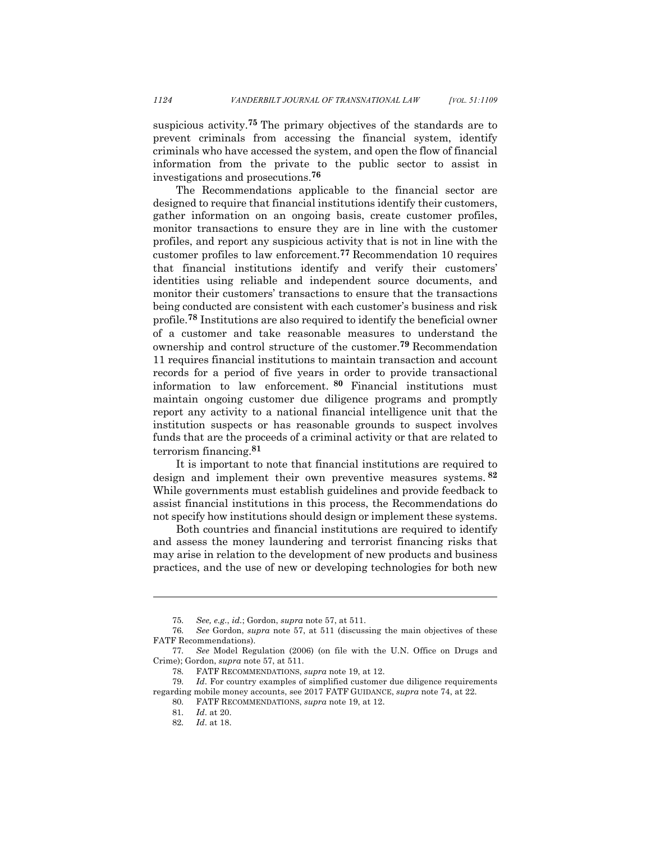suspicious activity.**<sup>75</sup>** The primary objectives of the standards are to prevent criminals from accessing the financial system, identify criminals who have accessed the system, and open the flow of financial information from the private to the public sector to assist in investigations and prosecutions.**<sup>76</sup>**

The Recommendations applicable to the financial sector are designed to require that financial institutions identify their customers, gather information on an ongoing basis, create customer profiles, monitor transactions to ensure they are in line with the customer profiles, and report any suspicious activity that is not in line with the customer profiles to law enforcement.**<sup>77</sup>** Recommendation 10 requires that financial institutions identify and verify their customers' identities using reliable and independent source documents, and monitor their customers' transactions to ensure that the transactions being conducted are consistent with each customer's business and risk profile.**<sup>78</sup>** Institutions are also required to identify the beneficial owner of a customer and take reasonable measures to understand the ownership and control structure of the customer.**<sup>79</sup>** Recommendation 11 requires financial institutions to maintain transaction and account records for a period of five years in order to provide transactional information to law enforcement. **<sup>80</sup>** Financial institutions must maintain ongoing customer due diligence programs and promptly report any activity to a national financial intelligence unit that the institution suspects or has reasonable grounds to suspect involves funds that are the proceeds of a criminal activity or that are related to terrorism financing.**<sup>81</sup>**

It is important to note that financial institutions are required to design and implement their own preventive measures systems. **<sup>82</sup>** While governments must establish guidelines and provide feedback to assist financial institutions in this process, the Recommendations do not specify how institutions should design or implement these systems.

Both countries and financial institutions are required to identify and assess the money laundering and terrorist financing risks that may arise in relation to the development of new products and business practices, and the use of new or developing technologies for both new

<sup>75.</sup> *See, e.g.*, *id.*; Gordon, *supra* note 57, at 511.

<sup>76.</sup> *See* Gordon, *supra* note 57, at 511 (discussing the main objectives of these FATF Recommendations).

<sup>77.</sup> *See* Model Regulation (2006) (on file with the U.N. Office on Drugs and Crime); Gordon, *supra* note 57, at 511.

<sup>78.</sup> FATF RECOMMENDATIONS, *supra* note 19, at 12.

<sup>79.</sup> *Id*. For country examples of simplified customer due diligence requirements regarding mobile money accounts, see 2017 FATF GUIDANCE, *supra* note 74, at 22.

<sup>80.</sup> FATF RECOMMENDATIONS, *supra* note 19, at 12.

<sup>81.</sup> *Id*. at 20.

<sup>82.</sup> *Id*. at 18.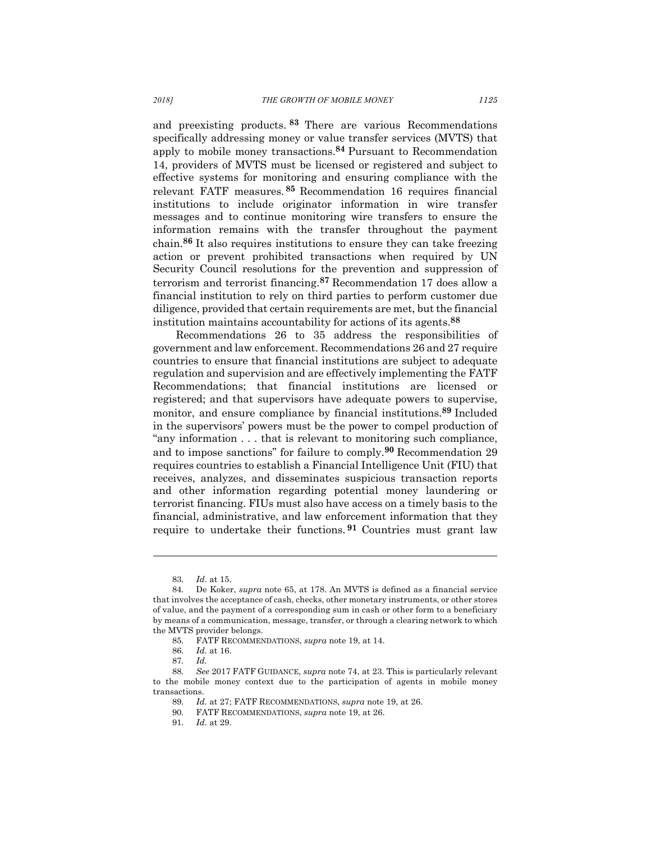and preexisting products. **<sup>83</sup>** There are various Recommendations specifically addressing money or value transfer services (MVTS) that apply to mobile money transactions.**<sup>84</sup>** Pursuant to Recommendation 14, providers of MVTS must be licensed or registered and subject to effective systems for monitoring and ensuring compliance with the relevant FATF measures. **<sup>85</sup>** Recommendation 16 requires financial institutions to include originator information in wire transfer messages and to continue monitoring wire transfers to ensure the information remains with the transfer throughout the payment chain.**<sup>86</sup>** It also requires institutions to ensure they can take freezing action or prevent prohibited transactions when required by UN Security Council resolutions for the prevention and suppression of terrorism and terrorist financing.**<sup>87</sup>** Recommendation 17 does allow a financial institution to rely on third parties to perform customer due diligence, provided that certain requirements are met, but the financial institution maintains accountability for actions of its agents.**<sup>88</sup>**

Recommendations 26 to 35 address the responsibilities of government and law enforcement. Recommendations 26 and 27 require countries to ensure that financial institutions are subject to adequate regulation and supervision and are effectively implementing the FATF Recommendations; that financial institutions are licensed or registered; and that supervisors have adequate powers to supervise, monitor, and ensure compliance by financial institutions.**<sup>89</sup>** Included in the supervisors' powers must be the power to compel production of "any information . . . that is relevant to monitoring such compliance, and to impose sanctions" for failure to comply.**<sup>90</sup>** Recommendation 29 requires countries to establish a Financial Intelligence Unit (FIU) that receives, analyzes, and disseminates suspicious transaction reports and other information regarding potential money laundering or terrorist financing. FIUs must also have access on a timely basis to the financial, administrative, and law enforcement information that they require to undertake their functions. **<sup>91</sup>** Countries must grant law

<sup>83.</sup> *Id*. at 15.

<sup>84.</sup> De Koker, *supra* note 65, at 178. An MVTS is defined as a financial service that involves the acceptance of cash, checks, other monetary instruments, or other stores of value, and the payment of a corresponding sum in cash or other form to a beneficiary by means of a communication, message, transfer, or through a clearing network to which the MVTS provider belongs.

<sup>85.</sup> FATF RECOMMENDATIONS, *supra* note 19, at 14.

<sup>86.</sup> *Id.* at 16.

<sup>87.</sup> *Id.*

<sup>88.</sup> *See* 2017 FATF GUIDANCE, *supra* note 74, at 23. This is particularly relevant to the mobile money context due to the participation of agents in mobile money transactions.

<sup>89.</sup> *Id.* at 27; FATF RECOMMENDATIONS, *supra* note 19, at 26.

<sup>90.</sup> FATF RECOMMENDATIONS, *supra* note 19, at 26.

<sup>91.</sup> *Id*. at 29.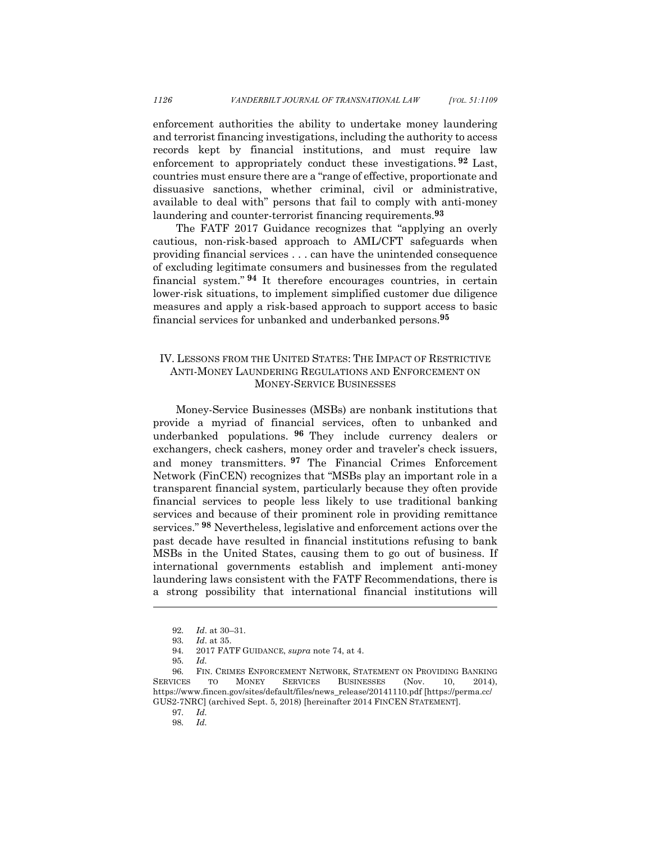enforcement authorities the ability to undertake money laundering and terrorist financing investigations, including the authority to access records kept by financial institutions, and must require law enforcement to appropriately conduct these investigations. **<sup>92</sup>** Last, countries must ensure there are a "range of effective, proportionate and dissuasive sanctions, whether criminal, civil or administrative, available to deal with" persons that fail to comply with anti-money laundering and counter-terrorist financing requirements.**<sup>93</sup>**

The FATF 2017 Guidance recognizes that "applying an overly cautious, non-risk-based approach to AML/CFT safeguards when providing financial services . . . can have the unintended consequence of excluding legitimate consumers and businesses from the regulated financial system." **<sup>94</sup>** It therefore encourages countries, in certain lower-risk situations, to implement simplified customer due diligence measures and apply a risk-based approach to support access to basic financial services for unbanked and underbanked persons.**<sup>95</sup>**

## IV. LESSONS FROM THE UNITED STATES: THE IMPACT OF RESTRICTIVE ANTI-MONEY LAUNDERING REGULATIONS AND ENFORCEMENT ON MONEY-SERVICE BUSINESSES

Money-Service Businesses (MSBs) are nonbank institutions that provide a myriad of financial services, often to unbanked and underbanked populations. **<sup>96</sup>** They include currency dealers or exchangers, check cashers, money order and traveler's check issuers, and money transmitters. **<sup>97</sup>** The Financial Crimes Enforcement Network (FinCEN) recognizes that "MSBs play an important role in a transparent financial system, particularly because they often provide financial services to people less likely to use traditional banking services and because of their prominent role in providing remittance services." **<sup>98</sup>** Nevertheless, legislative and enforcement actions over the past decade have resulted in financial institutions refusing to bank MSBs in the United States, causing them to go out of business. If international governments establish and implement anti-money laundering laws consistent with the FATF Recommendations, there is a strong possibility that international financial institutions will

<sup>92.</sup> *Id*. at 30–31.

<sup>93.</sup> *Id*. at 35.

<sup>94.</sup> 2017 FATF GUIDANCE, *supra* note 74, at 4.

<sup>95.</sup> *Id.*

<sup>96.</sup> FIN. CRIMES ENFORCEMENT NETWORK, STATEMENT ON PROVIDING BANKING SERVICES TO MONEY SERVICES BUSINESSES (Nov. 10, 2014), https://www.fincen.gov/sites/default/files/news\_release/20141110.pdf [https://perma.cc/ GUS2-7NRC] (archived Sept. 5, 2018) [hereinafter 2014 FINCEN STATEMENT].

<sup>97.</sup> *Id.*

<sup>98.</sup> *Id.*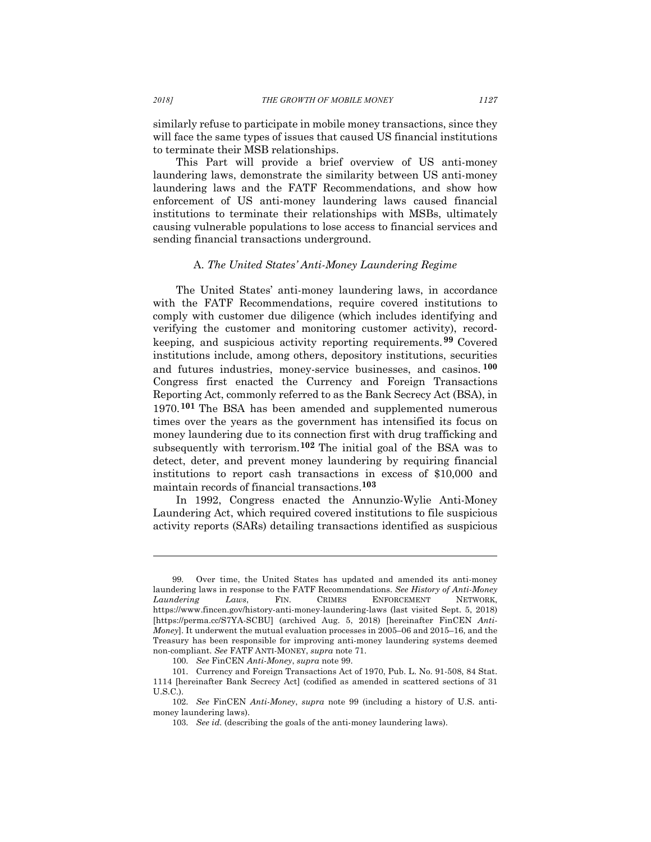similarly refuse to participate in mobile money transactions, since they will face the same types of issues that caused US financial institutions to terminate their MSB relationships.

This Part will provide a brief overview of US anti-money laundering laws, demonstrate the similarity between US anti-money laundering laws and the FATF Recommendations, and show how enforcement of US anti-money laundering laws caused financial institutions to terminate their relationships with MSBs, ultimately causing vulnerable populations to lose access to financial services and sending financial transactions underground.

#### A. *The United States' Anti-Money Laundering Regime*

The United States' anti-money laundering laws, in accordance with the FATF Recommendations, require covered institutions to comply with customer due diligence (which includes identifying and verifying the customer and monitoring customer activity), recordkeeping, and suspicious activity reporting requirements. **<sup>99</sup>** Covered institutions include, among others, depository institutions, securities and futures industries, money-service businesses, and casinos. **<sup>100</sup>** Congress first enacted the Currency and Foreign Transactions Reporting Act, commonly referred to as the Bank Secrecy Act (BSA), in 1970.**<sup>101</sup>** The BSA has been amended and supplemented numerous times over the years as the government has intensified its focus on money laundering due to its connection first with drug trafficking and subsequently with terrorism.**<sup>102</sup>** The initial goal of the BSA was to detect, deter, and prevent money laundering by requiring financial institutions to report cash transactions in excess of \$10,000 and maintain records of financial transactions.**<sup>103</sup>**

In 1992, Congress enacted the Annunzio-Wylie Anti-Money Laundering Act, which required covered institutions to file suspicious activity reports (SARs) detailing transactions identified as suspicious

<sup>99.</sup> Over time, the United States has updated and amended its anti-money laundering laws in response to the FATF Recommendations. *See History of Anti-Money Laundering Laws*, FIN. CRIMES ENFORCEMENT NETWORK, https://www.fincen.gov/history-anti-money-laundering-laws (last visited Sept. 5, 2018) [https://perma.cc/S7YA-SCBU] (archived Aug. 5, 2018) [hereinafter FinCEN *Anti-Money*]. It underwent the mutual evaluation processes in 2005–06 and 2015–16, and the Treasury has been responsible for improving anti-money laundering systems deemed non-compliant. *See* FATF ANTI-MONEY, *supra* note 71.

<sup>100.</sup> *See* FinCEN *Anti-Money*, *supra* note 99.

<sup>101.</sup> Currency and Foreign Transactions Act of 1970, Pub. L. No. 91-508, 84 Stat. 1114 [hereinafter Bank Secrecy Act] (codified as amended in scattered sections of 31 U.S.C.).

<sup>102.</sup> *See* FinCEN *Anti-Money*, *supra* note 99 (including a history of U.S. antimoney laundering laws).

<sup>103.</sup> *See id.* (describing the goals of the anti-money laundering laws).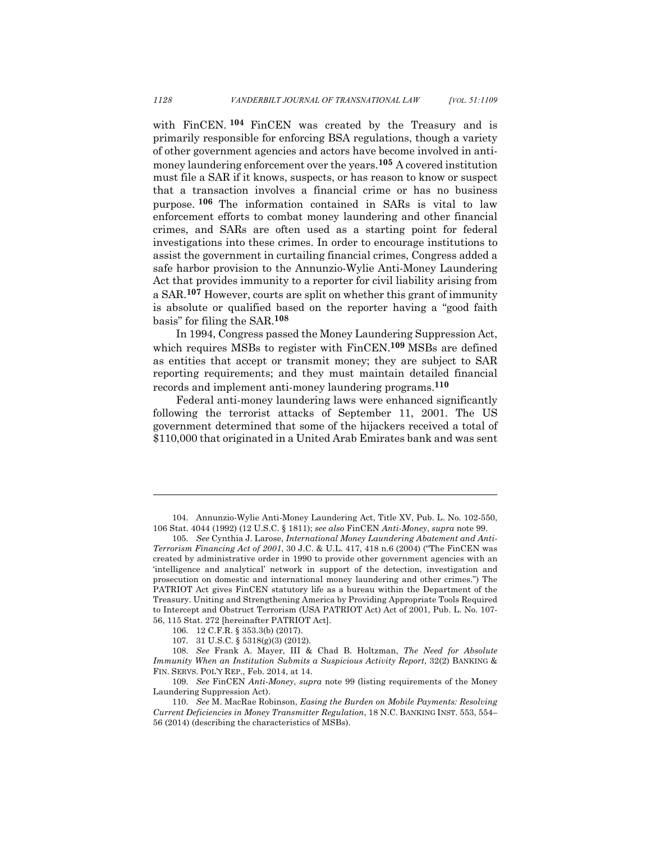with FinCEN. **<sup>104</sup>** FinCEN was created by the Treasury and is primarily responsible for enforcing BSA regulations, though a variety of other government agencies and actors have become involved in antimoney laundering enforcement over the years.**<sup>105</sup>** A covered institution must file a SAR if it knows, suspects, or has reason to know or suspect that a transaction involves a financial crime or has no business purpose. **<sup>106</sup>** The information contained in SARs is vital to law enforcement efforts to combat money laundering and other financial crimes, and SARs are often used as a starting point for federal investigations into these crimes. In order to encourage institutions to assist the government in curtailing financial crimes, Congress added a safe harbor provision to the Annunzio-Wylie Anti-Money Laundering Act that provides immunity to a reporter for civil liability arising from a SAR.**<sup>107</sup>** However, courts are split on whether this grant of immunity is absolute or qualified based on the reporter having a "good faith basis" for filing the SAR.**<sup>108</sup>**

In 1994, Congress passed the Money Laundering Suppression Act, which requires MSBs to register with FinCEN.**<sup>109</sup>** MSBs are defined as entities that accept or transmit money; they are subject to SAR reporting requirements; and they must maintain detailed financial records and implement anti-money laundering programs.**<sup>110</sup>**

Federal anti-money laundering laws were enhanced significantly following the terrorist attacks of September 11, 2001. The US government determined that some of the hijackers received a total of \$110,000 that originated in a United Arab Emirates bank and was sent

<sup>104.</sup> Annunzio-Wylie Anti-Money Laundering Act, Title XV, Pub. L. No. 102-550, 106 Stat. 4044 (1992) (12 U.S.C. § 1811); *see also* FinCEN *Anti-Money*, *supra* note 99.

<sup>105.</sup> *See* Cynthia J. Larose, *International Money Laundering Abatement and Anti-Terrorism Financing Act of 2001*, 30 J.C. & U.L. 417, 418 n.6 (2004) ("The FinCEN was created by administrative order in 1990 to provide other government agencies with an 'intelligence and analytical' network in support of the detection, investigation and prosecution on domestic and international money laundering and other crimes.") The PATRIOT Act gives FinCEN statutory life as a bureau within the Department of the Treasury. Uniting and Strengthening America by Providing Appropriate Tools Required to Intercept and Obstruct Terrorism (USA PATRIOT Act) Act of 2001, Pub. L. No. 107- 56, 115 Stat. 272 [hereinafter PATRIOT Act].

<sup>106.</sup> 12 C.F.R. § 353.3(b) (2017).

<sup>107.</sup> 31 U.S.C. § 5318(g)(3) (2012).

<sup>108.</sup> *See* Frank A. Mayer, III & Chad B. Holtzman, *The Need for Absolute Immunity When an Institution Submits a Suspicious Activity Report*, 32(2) BANKING & FIN. SERVS. POL'Y REP., Feb. 2014, at 14.

<sup>109.</sup> *See* FinCEN *Anti-Money*, *supra* note 99 (listing requirements of the Money Laundering Suppression Act).

<sup>110.</sup> *See* M. MacRae Robinson, *Easing the Burden on Mobile Payments: Resolving Current Deficiencies in Money Transmitter Regulation*, 18 N.C. BANKING INST. 553, 554– 56 (2014) (describing the characteristics of MSBs).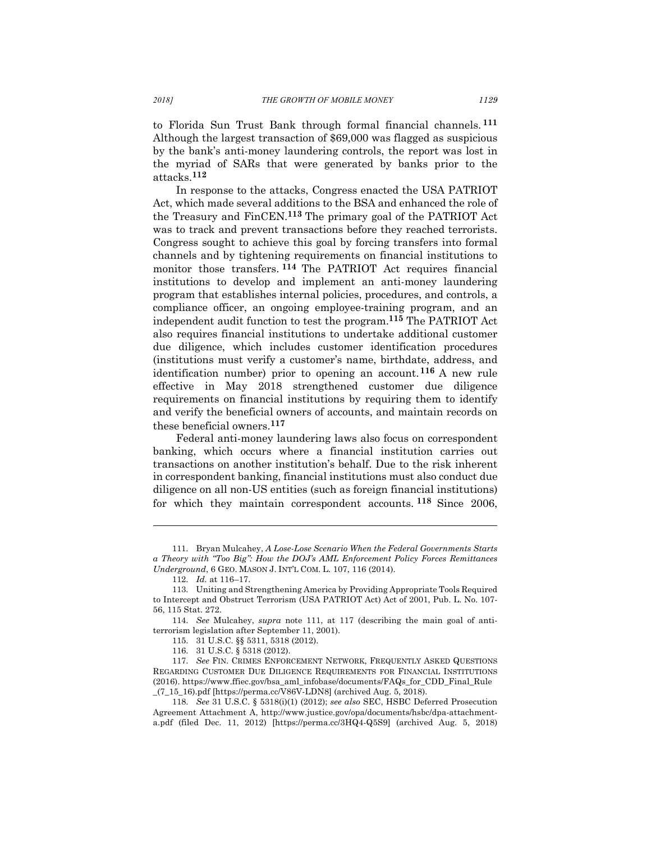to Florida Sun Trust Bank through formal financial channels. **<sup>111</sup>** Although the largest transaction of \$69,000 was flagged as suspicious by the bank's anti-money laundering controls, the report was lost in the myriad of SARs that were generated by banks prior to the attacks.**<sup>112</sup>**

In response to the attacks, Congress enacted the USA PATRIOT Act, which made several additions to the BSA and enhanced the role of the Treasury and FinCEN.**<sup>113</sup>** The primary goal of the PATRIOT Act was to track and prevent transactions before they reached terrorists. Congress sought to achieve this goal by forcing transfers into formal channels and by tightening requirements on financial institutions to monitor those transfers. **<sup>114</sup>** The PATRIOT Act requires financial institutions to develop and implement an anti-money laundering program that establishes internal policies, procedures, and controls, a compliance officer, an ongoing employee-training program, and an independent audit function to test the program.**<sup>115</sup>** The PATRIOT Act also requires financial institutions to undertake additional customer due diligence, which includes customer identification procedures (institutions must verify a customer's name, birthdate, address, and identification number) prior to opening an account.**<sup>116</sup>** A new rule effective in May 2018 strengthened customer due diligence requirements on financial institutions by requiring them to identify and verify the beneficial owners of accounts, and maintain records on these beneficial owners.**<sup>117</sup>**

Federal anti-money laundering laws also focus on correspondent banking, which occurs where a financial institution carries out transactions on another institution's behalf. Due to the risk inherent in correspondent banking, financial institutions must also conduct due diligence on all non-US entities (such as foreign financial institutions) for which they maintain correspondent accounts. **<sup>118</sup>** Since 2006,

<sup>111.</sup> Bryan Mulcahey, *A Lose-Lose Scenario When the Federal Governments Starts a Theory with "Too Big": How the DOJ's AML Enforcement Policy Forces Remittances Underground*, 6 GEO. MASON J. INT'L COM. L. 107, 116 (2014).

<sup>112.</sup> *Id.* at 116–17.

<sup>113.</sup> Uniting and Strengthening America by Providing Appropriate Tools Required to Intercept and Obstruct Terrorism (USA PATRIOT Act) Act of 2001, Pub. L. No. 107- 56, 115 Stat. 272.

<sup>114.</sup> *See* Mulcahey, *supra* note 111, at 117 (describing the main goal of antiterrorism legislation after September 11, 2001).

<sup>115.</sup> 31 U.S.C. §§ 5311, 5318 (2012).

<sup>116.</sup> 31 U.S.C. § 5318 (2012).

<sup>117.</sup> *See* FIN. CRIMES ENFORCEMENT NETWORK, FREQUENTLY ASKED QUESTIONS REGARDING CUSTOMER DUE DILIGENCE REQUIREMENTS FOR FINANCIAL INSTITUTIONS (2016). https://www.ffiec.gov/bsa\_aml\_infobase/documents/FAQs\_for\_CDD\_Final\_Rule  $(7\_15\_16)$ .pdf [https://perma.cc/V86V-LDN8] (archived Aug. 5, 2018).

<sup>118.</sup> *See* 31 U.S.C. § 5318(i)(1) (2012); *see also* SEC, HSBC Deferred Prosecution Agreement Attachment A, http://www.justice.gov/opa/documents/hsbc/dpa-attachmenta.pdf (filed Dec. 11, 2012) [https://perma.cc/3HQ4-Q5S9] (archived Aug. 5, 2018)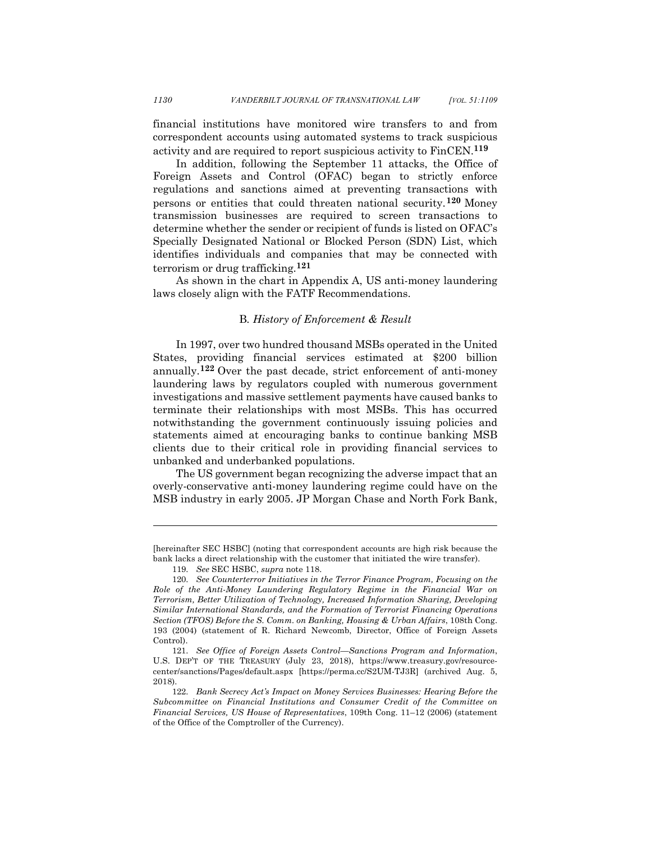financial institutions have monitored wire transfers to and from correspondent accounts using automated systems to track suspicious activity and are required to report suspicious activity to FinCEN.**<sup>119</sup>**

In addition, following the September 11 attacks, the Office of Foreign Assets and Control (OFAC) began to strictly enforce regulations and sanctions aimed at preventing transactions with persons or entities that could threaten national security.**<sup>120</sup>** Money transmission businesses are required to screen transactions to determine whether the sender or recipient of funds is listed on OFAC's Specially Designated National or Blocked Person (SDN) List, which identifies individuals and companies that may be connected with terrorism or drug trafficking.**<sup>121</sup>**

As shown in the chart in Appendix A, US anti-money laundering laws closely align with the FATF Recommendations.

#### B*. History of Enforcement & Result*

In 1997, over two hundred thousand MSBs operated in the United States, providing financial services estimated at \$200 billion annually.**<sup>122</sup>** Over the past decade, strict enforcement of anti-money laundering laws by regulators coupled with numerous government investigations and massive settlement payments have caused banks to terminate their relationships with most MSBs. This has occurred notwithstanding the government continuously issuing policies and statements aimed at encouraging banks to continue banking MSB clients due to their critical role in providing financial services to unbanked and underbanked populations.

The US government began recognizing the adverse impact that an overly-conservative anti-money laundering regime could have on the MSB industry in early 2005. JP Morgan Chase and North Fork Bank,

<sup>[</sup>hereinafter SEC HSBC] (noting that correspondent accounts are high risk because the bank lacks a direct relationship with the customer that initiated the wire transfer).

<sup>119.</sup> *See* SEC HSBC, *supra* note 118.

<sup>120.</sup> *See Counterterror Initiatives in the Terror Finance Program, Focusing on the Role of the Anti-Money Laundering Regulatory Regime in the Financial War on Terrorism, Better Utilization of Technology, Increased Information Sharing, Developing Similar International Standards, and the Formation of Terrorist Financing Operations Section (TFOS) Before the S. Comm. on Banking, Housing & Urban Affairs*, 108th Cong. 193 (2004) (statement of R. Richard Newcomb, Director, Office of Foreign Assets Control).

<sup>121.</sup> *See Office of Foreign Assets Control—Sanctions Program and Information*, U.S. DEP'T OF THE TREASURY (July 23, 2018), https://www.treasury.gov/resourcecenter/sanctions/Pages/default.aspx [https://perma.cc/S2UM-TJ3R] (archived Aug. 5, 2018).

<sup>122.</sup> *Bank Secrecy Act's Impact on Money Services Businesses: Hearing Before the Subcommittee on Financial Institutions and Consumer Credit of the Committee on Financial Services, US House of Representatives*, 109th Cong. 11–12 (2006) (statement of the Office of the Comptroller of the Currency).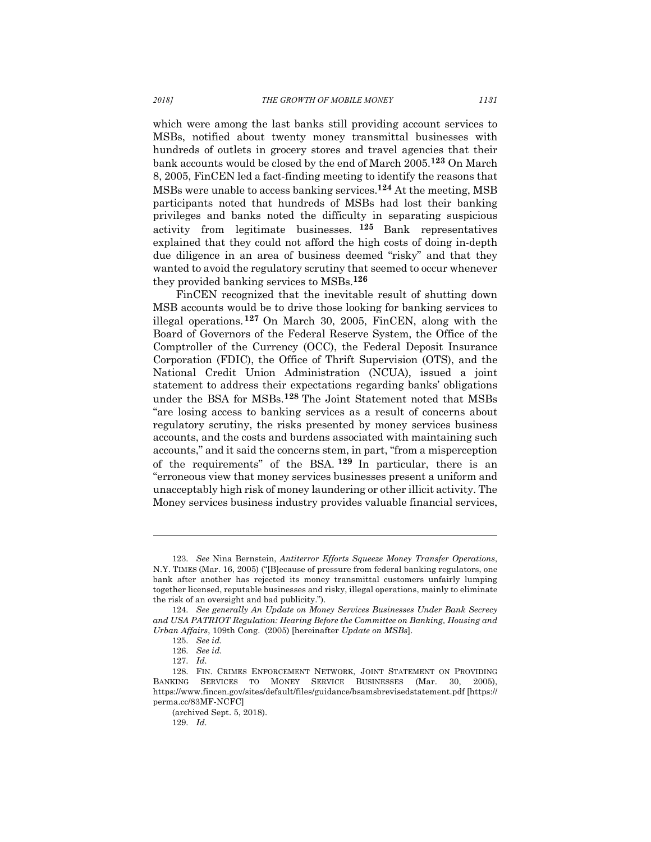which were among the last banks still providing account services to MSBs, notified about twenty money transmittal businesses with hundreds of outlets in grocery stores and travel agencies that their bank accounts would be closed by the end of March 2005.**<sup>123</sup>** On March 8, 2005, FinCEN led a fact-finding meeting to identify the reasons that MSBs were unable to access banking services.**<sup>124</sup>** At the meeting, MSB participants noted that hundreds of MSBs had lost their banking privileges and banks noted the difficulty in separating suspicious activity from legitimate businesses. **<sup>125</sup>** Bank representatives explained that they could not afford the high costs of doing in-depth due diligence in an area of business deemed "risky" and that they wanted to avoid the regulatory scrutiny that seemed to occur whenever they provided banking services to MSBs.**<sup>126</sup>**

FinCEN recognized that the inevitable result of shutting down MSB accounts would be to drive those looking for banking services to illegal operations.**<sup>127</sup>** On March 30, 2005, FinCEN, along with the Board of Governors of the Federal Reserve System, the Office of the Comptroller of the Currency (OCC), the Federal Deposit Insurance Corporation (FDIC), the Office of Thrift Supervision (OTS), and the National Credit Union Administration (NCUA), issued a joint statement to address their expectations regarding banks' obligations under the BSA for MSBs.**<sup>128</sup>** The Joint Statement noted that MSBs "are losing access to banking services as a result of concerns about regulatory scrutiny, the risks presented by money services business accounts, and the costs and burdens associated with maintaining such accounts," and it said the concerns stem, in part, "from a misperception of the requirements" of the BSA. **<sup>129</sup>** In particular, there is an "erroneous view that money services businesses present a uniform and unacceptably high risk of money laundering or other illicit activity. The Money services business industry provides valuable financial services,

<sup>123.</sup> *See* Nina Bernstein, *Antiterror Efforts Squeeze Money Transfer Operations*, N.Y. TIMES (Mar. 16, 2005) ("[B]ecause of pressure from federal banking regulators, one bank after another has rejected its money transmittal customers unfairly lumping together licensed, reputable businesses and risky, illegal operations, mainly to eliminate the risk of an oversight and bad publicity.").

<sup>124.</sup> *See generally An Update on Money Services Businesses Under Bank Secrecy and USA PATRIOT Regulation: Hearing Before the Committee on Banking, Housing and Urban Affairs*, 109th Cong. (2005) [hereinafter *Update on MSBs*].

<sup>125.</sup> *See id.*

<sup>126.</sup> *See id.*

<sup>127.</sup> *Id.*

<sup>128.</sup> FIN. CRIMES ENFORCEMENT NETWORK, JOINT STATEMENT ON PROVIDING BANKING SERVICES TO MONEY SERVICE BUSINESSES (Mar. 30, 2005), https://www.fincen.gov/sites/default/files/guidance/bsamsbrevisedstatement.pdf [https:// perma.cc/83MF-NCFC]

<sup>(</sup>archived Sept. 5, 2018).

<sup>129.</sup> *Id.*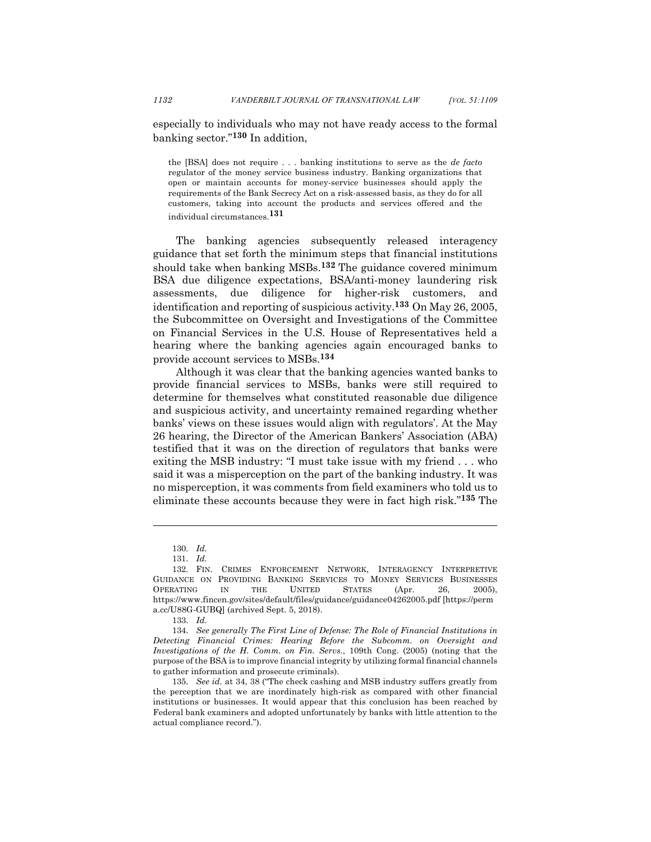especially to individuals who may not have ready access to the formal banking sector."**<sup>130</sup>** In addition,

the [BSA] does not require . . . banking institutions to serve as the *de facto* regulator of the money service business industry. Banking organizations that open or maintain accounts for money-service businesses should apply the requirements of the Bank Secrecy Act on a risk-assessed basis, as they do for all customers, taking into account the products and services offered and the individual circumstances.**131**

The banking agencies subsequently released interagency guidance that set forth the minimum steps that financial institutions should take when banking MSBs.**<sup>132</sup>** The guidance covered minimum BSA due diligence expectations, BSA/anti-money laundering risk assessments, due diligence for higher-risk customers, and identification and reporting of suspicious activity.**<sup>133</sup>** On May 26, 2005, the Subcommittee on Oversight and Investigations of the Committee on Financial Services in the U.S. House of Representatives held a hearing where the banking agencies again encouraged banks to provide account services to MSBs.**<sup>134</sup>**

Although it was clear that the banking agencies wanted banks to provide financial services to MSBs, banks were still required to determine for themselves what constituted reasonable due diligence and suspicious activity, and uncertainty remained regarding whether banks' views on these issues would align with regulators'. At the May 26 hearing, the Director of the American Bankers' Association (ABA) testified that it was on the direction of regulators that banks were exiting the MSB industry: "I must take issue with my friend . . . who said it was a misperception on the part of the banking industry. It was no misperception, it was comments from field examiners who told us to eliminate these accounts because they were in fact high risk."**<sup>135</sup>** The

<sup>130.</sup> *Id.*

<sup>131.</sup> *Id.*

<sup>132.</sup> FIN. CRIMES ENFORCEMENT NETWORK, INTERAGENCY INTERPRETIVE GUIDANCE ON PROVIDING BANKING SERVICES TO MONEY SERVICES BUSINESSES OPERATING IN THE UNITED STATES (Apr. 26, 2005), https://www.fincen.gov/sites/default/files/guidance/guidance04262005.pdf [https://perm a.cc/U88G-GUBQ] (archived Sept. 5, 2018).

<sup>133.</sup> *Id.*

<sup>134.</sup> *See generally The First Line of Defense: The Role of Financial Institutions in Detecting Financial Crimes: Hearing Before the Subcomm. on Oversight and Investigations of the H. Comm. on Fin. Servs.*, 109th Cong. (2005) (noting that the purpose of the BSA is to improve financial integrity by utilizing formal financial channels to gather information and prosecute criminals).

<sup>135.</sup> *See id.* at 34, 38 ("The check cashing and MSB industry suffers greatly from the perception that we are inordinately high-risk as compared with other financial institutions or businesses. It would appear that this conclusion has been reached by Federal bank examiners and adopted unfortunately by banks with little attention to the actual compliance record.").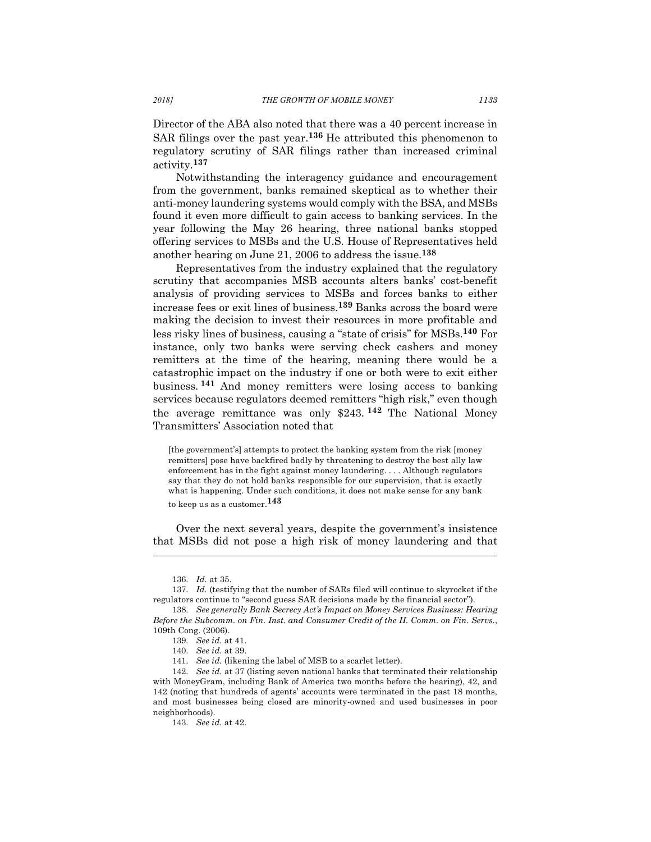Director of the ABA also noted that there was a 40 percent increase in SAR filings over the past year.**<sup>136</sup>** He attributed this phenomenon to regulatory scrutiny of SAR filings rather than increased criminal activity.**<sup>137</sup>**

Notwithstanding the interagency guidance and encouragement from the government, banks remained skeptical as to whether their anti-money laundering systems would comply with the BSA, and MSBs found it even more difficult to gain access to banking services. In the year following the May 26 hearing, three national banks stopped offering services to MSBs and the U.S. House of Representatives held another hearing on June 21, 2006 to address the issue.**<sup>138</sup>**

Representatives from the industry explained that the regulatory scrutiny that accompanies MSB accounts alters banks' cost-benefit analysis of providing services to MSBs and forces banks to either increase fees or exit lines of business.**<sup>139</sup>** Banks across the board were making the decision to invest their resources in more profitable and less risky lines of business, causing a "state of crisis" for MSBs.**<sup>140</sup>** For instance, only two banks were serving check cashers and money remitters at the time of the hearing, meaning there would be a catastrophic impact on the industry if one or both were to exit either business. **<sup>141</sup>** And money remitters were losing access to banking services because regulators deemed remitters "high risk," even though the average remittance was only \$243. **<sup>142</sup>** The National Money Transmitters' Association noted that

[the government's] attempts to protect the banking system from the risk [money remitters] pose have backfired badly by threatening to destroy the best ally law enforcement has in the fight against money laundering. . . . Although regulators say that they do not hold banks responsible for our supervision, that is exactly what is happening. Under such conditions, it does not make sense for any bank to keep us as a customer.**143**

Over the next several years, despite the government's insistence that MSBs did not pose a high risk of money laundering and that

<sup>136.</sup> *Id.* at 35.

<sup>137.</sup> *Id.* (testifying that the number of SARs filed will continue to skyrocket if the regulators continue to "second guess SAR decisions made by the financial sector").

<sup>138.</sup> *See generally Bank Secrecy Act's Impact on Money Services Business: Hearing Before the Subcomm. on Fin. Inst. and Consumer Credit of the H. Comm. on Fin. Servs.*, 109th Cong. (2006).

<sup>139.</sup> *See id.* at 41.

<sup>140.</sup> *See id.* at 39.

<sup>141.</sup> *See id.* (likening the label of MSB to a scarlet letter).

<sup>142.</sup> *See id.* at 37 (listing seven national banks that terminated their relationship with MoneyGram, including Bank of America two months before the hearing), 42, and 142 (noting that hundreds of agents' accounts were terminated in the past 18 months, and most businesses being closed are minority-owned and used businesses in poor neighborhoods).

<sup>143.</sup> *See id.* at 42.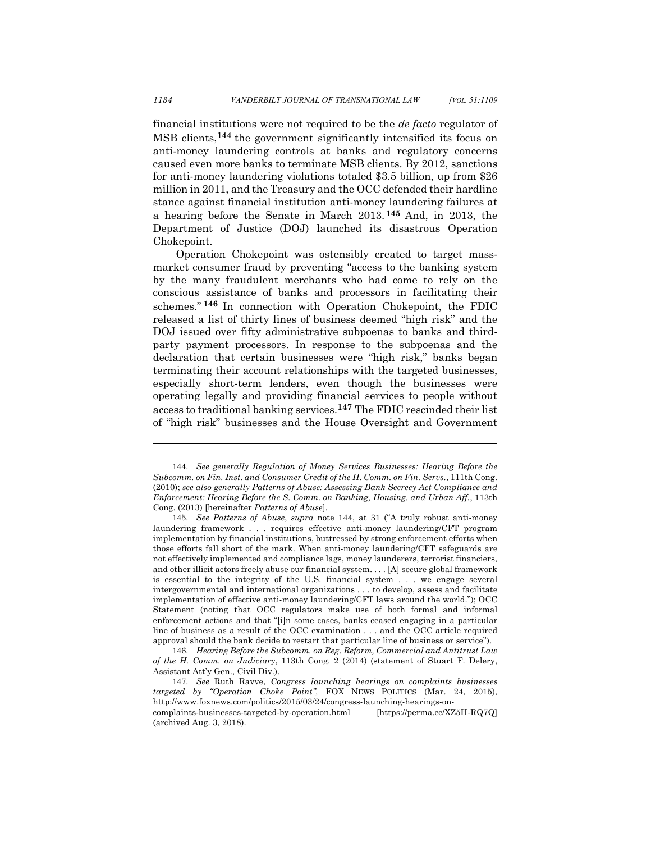financial institutions were not required to be the *de facto* regulator of MSB clients,**<sup>144</sup>** the government significantly intensified its focus on anti-money laundering controls at banks and regulatory concerns caused even more banks to terminate MSB clients. By 2012, sanctions for anti-money laundering violations totaled \$3.5 billion, up from \$26 million in 2011, and the Treasury and the OCC defended their hardline stance against financial institution anti-money laundering failures at a hearing before the Senate in March 2013. **<sup>145</sup>** And, in 2013, the Department of Justice (DOJ) launched its disastrous Operation Chokepoint.

Operation Chokepoint was ostensibly created to target massmarket consumer fraud by preventing "access to the banking system by the many fraudulent merchants who had come to rely on the conscious assistance of banks and processors in facilitating their schemes." **<sup>146</sup>** In connection with Operation Chokepoint, the FDIC released a list of thirty lines of business deemed "high risk" and the DOJ issued over fifty administrative subpoenas to banks and thirdparty payment processors. In response to the subpoenas and the declaration that certain businesses were "high risk," banks began terminating their account relationships with the targeted businesses, especially short-term lenders, even though the businesses were operating legally and providing financial services to people without access to traditional banking services.**<sup>147</sup>** The FDIC rescinded their list of "high risk" businesses and the House Oversight and Government

<sup>144.</sup> *See generally Regulation of Money Services Businesses: Hearing Before the Subcomm. on Fin. Inst. and Consumer Credit of the H. Comm. on Fin. Servs.*, 111th Cong. (2010); *see also generally Patterns of Abuse: Assessing Bank Secrecy Act Compliance and Enforcement: Hearing Before the S. Comm. on Banking, Housing, and Urban Aff.*, 113th Cong. (2013) [hereinafter *Patterns of Abuse*].

<sup>145.</sup> *See Patterns of Abuse*, *supra* note 144, at 31 ("A truly robust anti-money laundering framework . . . requires effective anti-money laundering/CFT program implementation by financial institutions, buttressed by strong enforcement efforts when those efforts fall short of the mark. When anti-money laundering/CFT safeguards are not effectively implemented and compliance lags, money launderers, terrorist financiers, and other illicit actors freely abuse our financial system. . . . [A] secure global framework is essential to the integrity of the U.S. financial system . . . we engage several intergovernmental and international organizations . . . to develop, assess and facilitate implementation of effective anti-money laundering/CFT laws around the world."); OCC Statement (noting that OCC regulators make use of both formal and informal enforcement actions and that "[i]n some cases, banks ceased engaging in a particular line of business as a result of the OCC examination . . . and the OCC article required approval should the bank decide to restart that particular line of business or service").

<sup>146.</sup> *Hearing Before the Subcomm. on Reg. Reform, Commercial and Antitrust Law of the H. Comm. on Judiciary*, 113th Cong. 2 (2014) (statement of Stuart F. Delery, Assistant Att'y Gen., Civil Div.).

<sup>147.</sup> *See* Ruth Ravve, *Congress launching hearings on complaints businesses targeted by "Operation Choke Point",* FOX NEWS POLITICS (Mar. 24, 2015), http://www.foxnews.com/politics/2015/03/24/congress-launching-hearings-oncomplaints-businesses-targeted-by-operation.html [https://perma.cc/XZ5H-RQ7Q] (archived Aug. 3, 2018).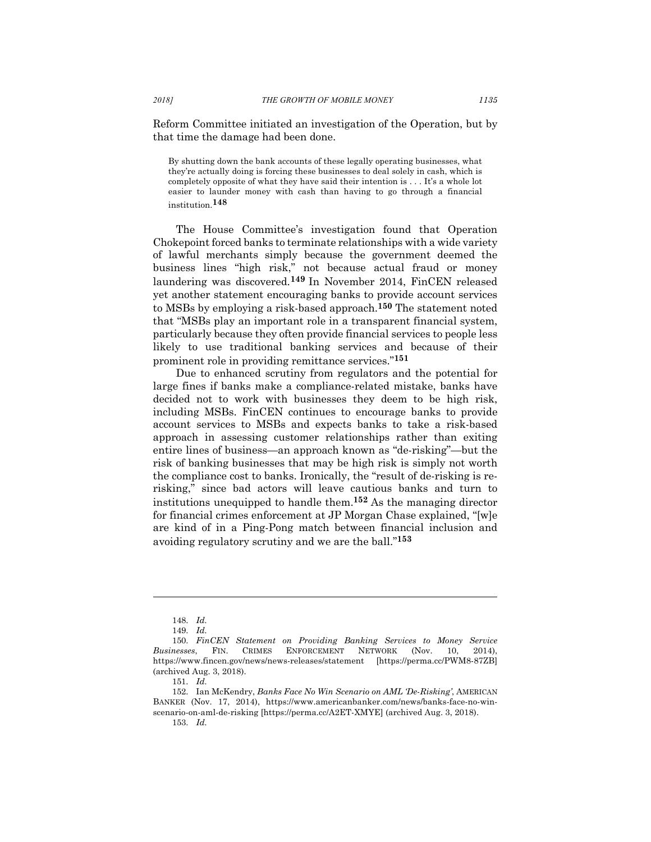Reform Committee initiated an investigation of the Operation, but by that time the damage had been done.

By shutting down the bank accounts of these legally operating businesses, what they're actually doing is forcing these businesses to deal solely in cash, which is completely opposite of what they have said their intention is . . . It's a whole lot easier to launder money with cash than having to go through a financial institution. **148**

The House Committee's investigation found that Operation Chokepoint forced banks to terminate relationships with a wide variety of lawful merchants simply because the government deemed the business lines "high risk," not because actual fraud or money laundering was discovered.**<sup>149</sup>** In November 2014, FinCEN released yet another statement encouraging banks to provide account services to MSBs by employing a risk-based approach.**<sup>150</sup>** The statement noted that "MSBs play an important role in a transparent financial system, particularly because they often provide financial services to people less likely to use traditional banking services and because of their prominent role in providing remittance services."**<sup>151</sup>**

Due to enhanced scrutiny from regulators and the potential for large fines if banks make a compliance-related mistake, banks have decided not to work with businesses they deem to be high risk, including MSBs. FinCEN continues to encourage banks to provide account services to MSBs and expects banks to take a risk-based approach in assessing customer relationships rather than exiting entire lines of business—an approach known as "de-risking"—but the risk of banking businesses that may be high risk is simply not worth the compliance cost to banks. Ironically, the "result of de-risking is rerisking," since bad actors will leave cautious banks and turn to institutions unequipped to handle them.**<sup>152</sup>** As the managing director for financial crimes enforcement at JP Morgan Chase explained, "[w]e are kind of in a Ping-Pong match between financial inclusion and avoiding regulatory scrutiny and we are the ball."**<sup>153</sup>**

<sup>148.</sup> *Id.*

<sup>149.</sup> *Id.*

<sup>150.</sup> *FinCEN Statement on Providing Banking Services to Money Service Businesses*, FIN. CRIMES ENFORCEMENT NETWORK (Nov. 10, 2014), https://www.fincen.gov/news/news-releases/statement [https://perma.cc/PWM8-87ZB] (archived Aug. 3, 2018).

<sup>151.</sup> *Id.*

<sup>152.</sup> Ian McKendry, *Banks Face No Win Scenario on AML 'De-Risking'*, AMERICAN BANKER (Nov. 17, 2014), https://www.americanbanker.com/news/banks-face-no-winscenario-on-aml-de-risking [https://perma.cc/A2ET-XMYE] (archived Aug. 3, 2018). 153. *Id.*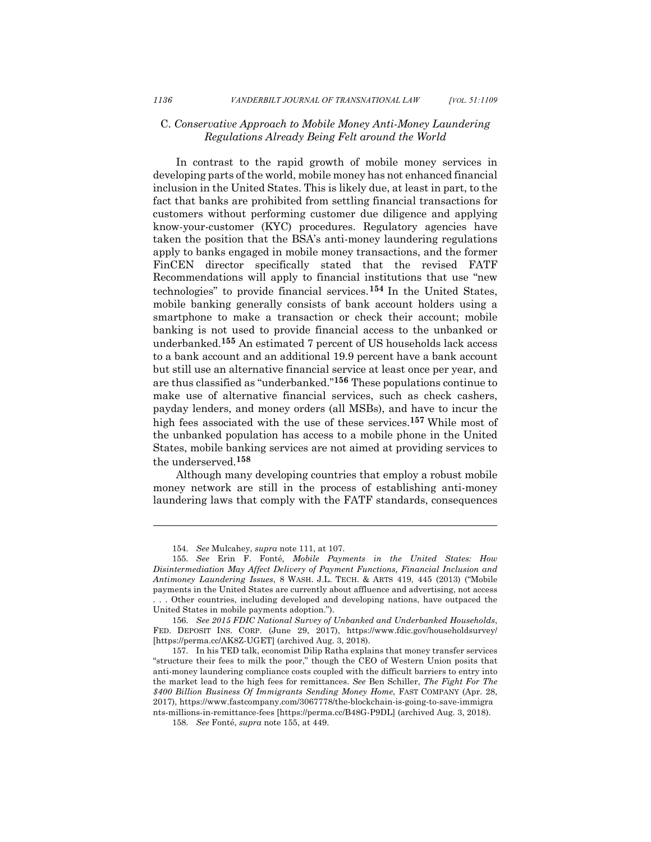#### C. *Conservative Approach to Mobile Money Anti-Money Laundering Regulations Already Being Felt around the World*

In contrast to the rapid growth of mobile money services in developing parts of the world, mobile money has not enhanced financial inclusion in the United States. This is likely due, at least in part, to the fact that banks are prohibited from settling financial transactions for customers without performing customer due diligence and applying know-your-customer (KYC) procedures. Regulatory agencies have taken the position that the BSA's anti-money laundering regulations apply to banks engaged in mobile money transactions, and the former FinCEN director specifically stated that the revised FATF Recommendations will apply to financial institutions that use "new technologies" to provide financial services.**<sup>154</sup>** In the United States, mobile banking generally consists of bank account holders using a smartphone to make a transaction or check their account; mobile banking is not used to provide financial access to the unbanked or underbanked.**<sup>155</sup>** An estimated 7 percent of US households lack access to a bank account and an additional 19.9 percent have a bank account but still use an alternative financial service at least once per year, and are thus classified as "underbanked."**<sup>156</sup>** These populations continue to make use of alternative financial services, such as check cashers, payday lenders, and money orders (all MSBs), and have to incur the high fees associated with the use of these services.**<sup>157</sup>** While most of the unbanked population has access to a mobile phone in the United States, mobile banking services are not aimed at providing services to the underserved.**<sup>158</sup>**

Although many developing countries that employ a robust mobile money network are still in the process of establishing anti-money laundering laws that comply with the FATF standards, consequences

<sup>154.</sup> *See* Mulcahey, *supra* note 111, at 107.

<sup>155.</sup> *See* Erin F. Fonté*, Mobile Payments in the United States: How Disintermediation May Affect Delivery of Payment Functions, Financial Inclusion and Antimoney Laundering Issues*, 8 WASH. J.L. TECH. & ARTS 419, 445 (2013) ("Mobile payments in the United States are currently about affluence and advertising, not access . . . Other countries, including developed and developing nations, have outpaced the United States in mobile payments adoption.").

<sup>156.</sup> *See 2015 FDIC National Survey of Unbanked and Underbanked Households*, FED. DEPOSIT INS. CORP. (June 29, 2017), https://www.fdic.gov/householdsurvey/ [https://perma.cc/AK8Z-UGET] (archived Aug. 3, 2018).

<sup>157.</sup> In his TED talk, economist Dilip Ratha explains that money transfer services "structure their fees to milk the poor," though the CEO of Western Union posits that anti-money laundering compliance costs coupled with the difficult barriers to entry into the market lead to the high fees for remittances. *See* Ben Schiller, *The Fight For The \$400 Billion Business Of Immigrants Sending Money Home*, FAST COMPANY (Apr. 28, 2017), https://www.fastcompany.com/3067778/the-blockchain-is-going-to-save-immigra nts-millions-in-remittance-fees [https://perma.cc/B48G-P9DL] (archived Aug. 3, 2018).

<sup>158.</sup> *See* Fonté, *supra* note 155, at 449.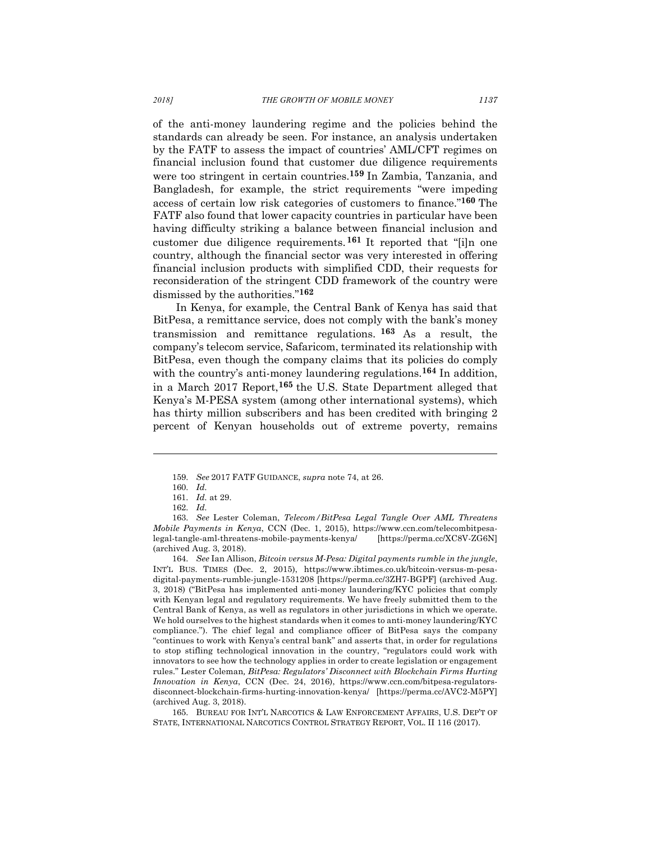of the anti-money laundering regime and the policies behind the standards can already be seen. For instance, an analysis undertaken by the FATF to assess the impact of countries' AML/CFT regimes on financial inclusion found that customer due diligence requirements were too stringent in certain countries. **<sup>159</sup>** In Zambia, Tanzania, and Bangladesh, for example, the strict requirements "were impeding access of certain low risk categories of customers to finance."**<sup>160</sup>** The FATF also found that lower capacity countries in particular have been having difficulty striking a balance between financial inclusion and customer due diligence requirements. **<sup>161</sup>** It reported that "[i]n one country, although the financial sector was very interested in offering financial inclusion products with simplified CDD, their requests for reconsideration of the stringent CDD framework of the country were dismissed by the authorities."**<sup>162</sup>**

In Kenya, for example, the Central Bank of Kenya has said that BitPesa, a remittance service, does not comply with the bank's money transmission and remittance regulations. **<sup>163</sup>** As a result, the company's telecom service, Safaricom, terminated its relationship with BitPesa, even though the company claims that its policies do comply with the country's anti-money laundering regulations.**<sup>164</sup>** In addition, in a March 2017 Report,**<sup>165</sup>** the U.S. State Department alleged that Kenya's M-PESA system (among other international systems), which has thirty million subscribers and has been credited with bringing 2 percent of Kenyan households out of extreme poverty, remains

l

164. *See* Ian Allison, *Bitcoin versus M-Pesa: Digital payments rumble in the jungle*, INT'L BUS. TIMES (Dec. 2, 2015), https://www.ibtimes.co.uk/bitcoin-versus-m-pesadigital-payments-rumble-jungle-1531208 [https://perma.cc/3ZH7-BGPF] (archived Aug. 3, 2018) ("BitPesa has implemented anti-money laundering/KYC policies that comply with Kenyan legal and regulatory requirements. We have freely submitted them to the Central Bank of Kenya, as well as regulators in other jurisdictions in which we operate. We hold ourselves to the highest standards when it comes to anti-money laundering/KYC compliance."). The chief legal and compliance officer of BitPesa says the company "continues to work with Kenya's central bank" and asserts that, in order for regulations to stop stifling technological innovation in the country, "regulators could work with innovators to see how the technology applies in order to create legislation or engagement rules." Lester Coleman*, BitPesa: Regulators' Disconnect with Blockchain Firms Hurting Innovation in Kenya*, CCN (Dec. 24, 2016), https://www.ccn.com/bitpesa-regulatorsdisconnect-blockchain-firms-hurting-innovation-kenya/ [https://perma.cc/AVC2-M5PY] (archived Aug. 3, 2018).

165. BUREAU FOR INT'L NARCOTICS & LAW ENFORCEMENT AFFAIRS, U.S. DEP'T OF STATE, INTERNATIONAL NARCOTICS CONTROL STRATEGY REPORT, VOL. II 116 (2017).

<sup>159.</sup> *See* 2017 FATF GUIDANCE, *supra* note 74, at 26.

<sup>160.</sup> *Id.*

<sup>161.</sup> *Id.* at 29.

<sup>162.</sup> *Id.*

<sup>163.</sup> *See* Lester Coleman, *Telecom/BitPesa Legal Tangle Over AML Threatens Mobile Payments in Kenya*, CCN (Dec. 1, 2015), https://www.ccn.com/telecombitpesalegal-tangle-aml-threatens-mobile-payments-kenya/ [https://perma.cc/XC8V-ZG6N] (archived Aug. 3, 2018).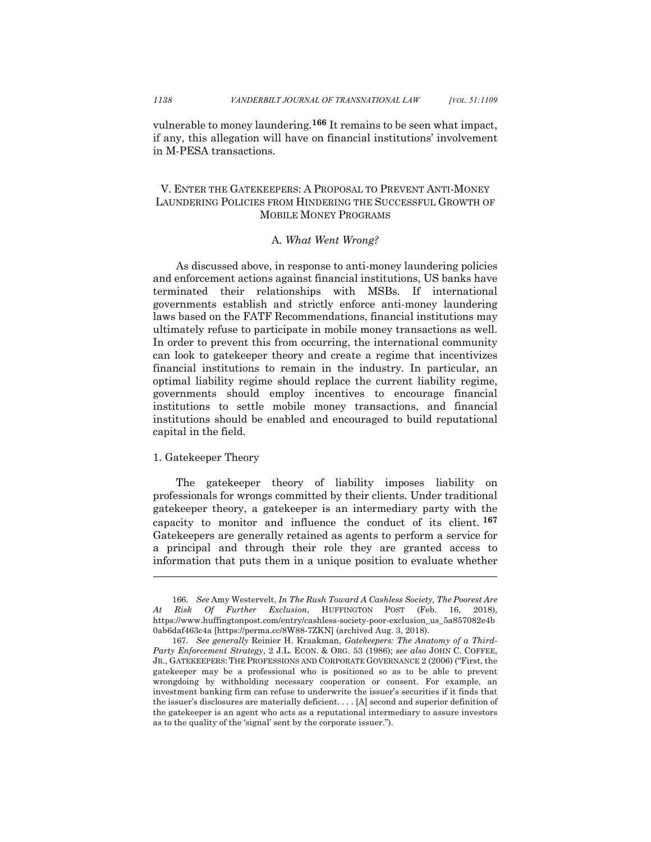vulnerable to money laundering.**<sup>166</sup>** It remains to be seen what impact, if any, this allegation will have on financial institutions' involvement in M-PESA transactions.

## V. ENTER THE GATEKEEPERS: A PROPOSAL TO PREVENT ANTI-MONEY LAUNDERING POLICIES FROM HINDERING THE SUCCESSFUL GROWTH OF MOBILE MONEY PROGRAMS

#### A*. What Went Wrong?*

As discussed above, in response to anti-money laundering policies and enforcement actions against financial institutions, US banks have terminated their relationships with MSBs. If international governments establish and strictly enforce anti-money laundering laws based on the FATF Recommendations, financial institutions may ultimately refuse to participate in mobile money transactions as well. In order to prevent this from occurring, the international community can look to gatekeeper theory and create a regime that incentivizes financial institutions to remain in the industry. In particular, an optimal liability regime should replace the current liability regime, governments should employ incentives to encourage financial institutions to settle mobile money transactions, and financial institutions should be enabled and encouraged to build reputational capital in the field.

#### 1. Gatekeeper Theory

l

The gatekeeper theory of liability imposes liability on professionals for wrongs committed by their clients. Under traditional gatekeeper theory, a gatekeeper is an intermediary party with the capacity to monitor and influence the conduct of its client. **<sup>167</sup>** Gatekeepers are generally retained as agents to perform a service for a principal and through their role they are granted access to information that puts them in a unique position to evaluate whether

<sup>166.</sup> *See* Amy Westervelt, *In The Rush Toward A Cashless Society, The Poorest Are At Risk Of Further Exclusion*, HUFFINGTON POST (Feb. 16, 2018), https://www.huffingtonpost.com/entry/cashless-society-poor-exclusion\_us\_5a857082e4b 0ab6daf463c4a [https://perma.cc/8W88-7ZKN] (archived Aug. 3, 2018).

<sup>167.</sup> *See generally* Reinier H. Kraakman, *Gatekeepers: The Anatomy of a Third-Party Enforcement Strategy*, 2 J.L. ECON. & ORG. 53 (1986); *see also* JOHN C. COFFEE, JR., GATEKEEPERS: THE PROFESSIONS AND CORPORATE GOVERNANCE 2 (2006) ("First, the gatekeeper may be a professional who is positioned so as to be able to prevent wrongdoing by withholding necessary cooperation or consent. For example, an investment banking firm can refuse to underwrite the issuer's securities if it finds that the issuer's disclosures are materially deficient. . . . [A] second and superior definition of the gatekeeper is an agent who acts as a reputational intermediary to assure investors as to the quality of the 'signal' sent by the corporate issuer.").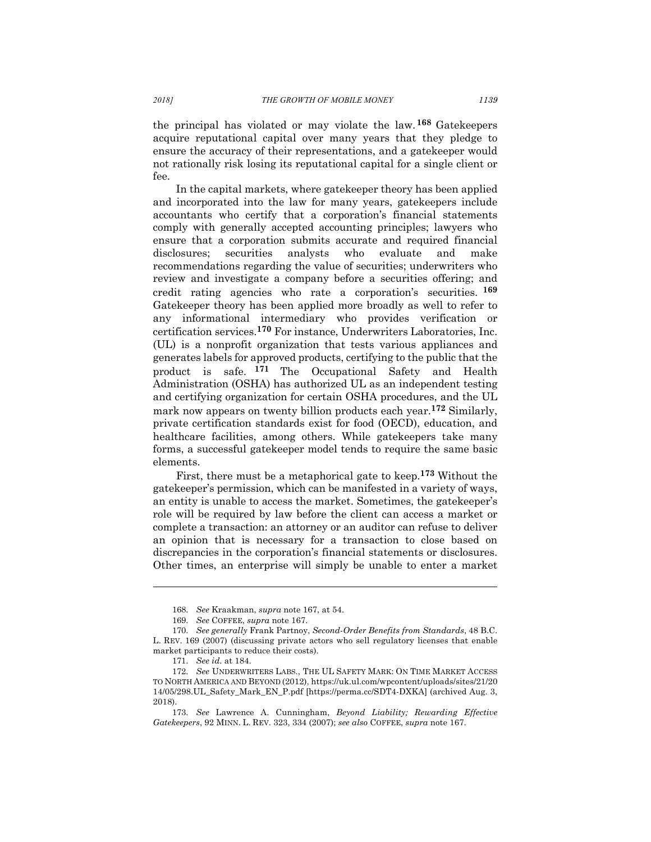the principal has violated or may violate the law. **<sup>168</sup>** Gatekeepers acquire reputational capital over many years that they pledge to ensure the accuracy of their representations, and a gatekeeper would not rationally risk losing its reputational capital for a single client or fee.

In the capital markets, where gatekeeper theory has been applied and incorporated into the law for many years, gatekeepers include accountants who certify that a corporation's financial statements comply with generally accepted accounting principles; lawyers who ensure that a corporation submits accurate and required financial disclosures; securities analysts who evaluate and make recommendations regarding the value of securities; underwriters who review and investigate a company before a securities offering; and credit rating agencies who rate a corporation's securities. **<sup>169</sup>** Gatekeeper theory has been applied more broadly as well to refer to any informational intermediary who provides verification or certification services.**<sup>170</sup>** For instance, Underwriters Laboratories, Inc. (UL) is a nonprofit organization that tests various appliances and generates labels for approved products, certifying to the public that the product is safe. **<sup>171</sup>** The Occupational Safety and Health Administration (OSHA) has authorized UL as an independent testing and certifying organization for certain OSHA procedures, and the UL mark now appears on twenty billion products each year.**<sup>172</sup>** Similarly, private certification standards exist for food (OECD), education, and healthcare facilities, among others. While gatekeepers take many forms, a successful gatekeeper model tends to require the same basic elements.

First, there must be a metaphorical gate to keep.**<sup>173</sup>** Without the gatekeeper's permission, which can be manifested in a variety of ways, an entity is unable to access the market. Sometimes, the gatekeeper's role will be required by law before the client can access a market or complete a transaction: an attorney or an auditor can refuse to deliver an opinion that is necessary for a transaction to close based on discrepancies in the corporation's financial statements or disclosures. Other times, an enterprise will simply be unable to enter a market

<sup>168.</sup> *See* Kraakman, *supra* note 167, at 54.

<sup>169.</sup> *See* COFFEE, *supra* note 167.

<sup>170.</sup> *See generally* Frank Partnoy, *Second-Order Benefits from Standards*, 48 B.C. L. REV. 169 (2007) (discussing private actors who sell regulatory licenses that enable market participants to reduce their costs).

<sup>171.</sup> *See id.* at 184.

<sup>172.</sup> *See* UNDERWRITERS LABS., THE UL SAFETY MARK: ON TIME MARKET ACCESS TO NORTH AMERICA AND BEYOND (2012), https://uk.ul.com/wpcontent/uploads/sites/21/20 14/05/298.UL\_Safety\_Mark\_EN\_P.pdf [https://perma.cc/SDT4-DXKA] (archived Aug. 3, 2018).

<sup>173.</sup> *See* Lawrence A. Cunningham, *Beyond Liability; Rewarding Effective Gatekeepers*, 92 MINN. L. REV. 323, 334 (2007); *see also* COFFEE, *supra* note 167.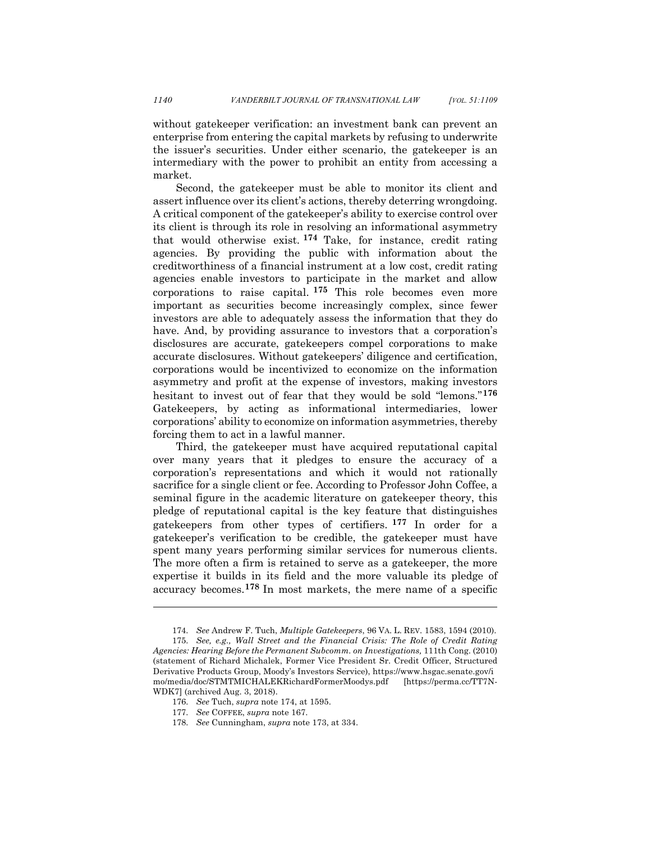without gatekeeper verification: an investment bank can prevent an enterprise from entering the capital markets by refusing to underwrite the issuer's securities. Under either scenario, the gatekeeper is an intermediary with the power to prohibit an entity from accessing a market.

Second, the gatekeeper must be able to monitor its client and assert influence over its client's actions, thereby deterring wrongdoing. A critical component of the gatekeeper's ability to exercise control over its client is through its role in resolving an informational asymmetry that would otherwise exist. **<sup>174</sup>** Take, for instance, credit rating agencies. By providing the public with information about the creditworthiness of a financial instrument at a low cost, credit rating agencies enable investors to participate in the market and allow corporations to raise capital. **<sup>175</sup>** This role becomes even more important as securities become increasingly complex, since fewer investors are able to adequately assess the information that they do have. And, by providing assurance to investors that a corporation's disclosures are accurate, gatekeepers compel corporations to make accurate disclosures. Without gatekeepers' diligence and certification, corporations would be incentivized to economize on the information asymmetry and profit at the expense of investors, making investors hesitant to invest out of fear that they would be sold "lemons."**<sup>176</sup>** Gatekeepers, by acting as informational intermediaries, lower corporations' ability to economize on information asymmetries, thereby forcing them to act in a lawful manner.

Third, the gatekeeper must have acquired reputational capital over many years that it pledges to ensure the accuracy of a corporation's representations and which it would not rationally sacrifice for a single client or fee. According to Professor John Coffee, a seminal figure in the academic literature on gatekeeper theory, this pledge of reputational capital is the key feature that distinguishes gatekeepers from other types of certifiers. **<sup>177</sup>** In order for a gatekeeper's verification to be credible, the gatekeeper must have spent many years performing similar services for numerous clients. The more often a firm is retained to serve as a gatekeeper, the more expertise it builds in its field and the more valuable its pledge of accuracy becomes.**<sup>178</sup>** In most markets, the mere name of a specific

<sup>174.</sup> *See* Andrew F. Tuch, *Multiple Gatekeepers*, 96 VA. L. REV. 1583, 1594 (2010).

<sup>175.</sup> *See, e.g., Wall Street and the Financial Crisis: The Role of Credit Rating Agencies: Hearing Before the Permanent Subcomm. on Investigations,* 111th Cong. (2010) (statement of Richard Michalek, Former Vice President Sr. Credit Officer, Structured Derivative Products Group, Moody's Investors Service), https://www.hsgac.senate.gov/i mo/media/doc/STMTMICHALEKRichardFormerMoodys.pdf [https://perma.cc/TT7N-WDK7] (archived Aug. 3, 2018).

<sup>176.</sup> *See* Tuch, *supra* note 174, at 1595.

<sup>177.</sup> *See* COFFEE, *supra* note 167.

<sup>178.</sup> *See* Cunningham, *supra* note 173, at 334.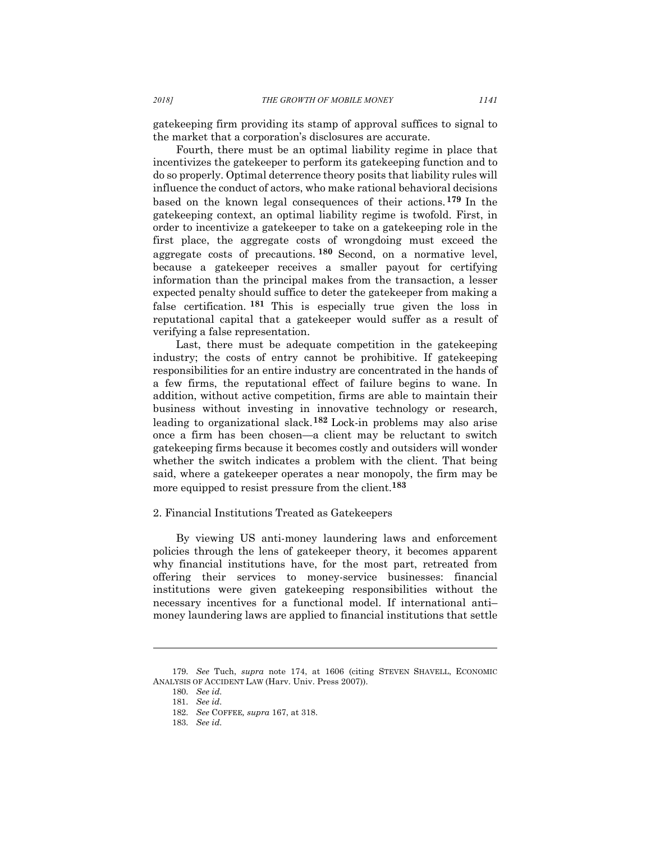gatekeeping firm providing its stamp of approval suffices to signal to the market that a corporation's disclosures are accurate.

Fourth, there must be an optimal liability regime in place that incentivizes the gatekeeper to perform its gatekeeping function and to do so properly. Optimal deterrence theory posits that liability rules will influence the conduct of actors, who make rational behavioral decisions based on the known legal consequences of their actions. **<sup>179</sup>** In the gatekeeping context, an optimal liability regime is twofold. First, in order to incentivize a gatekeeper to take on a gatekeeping role in the first place, the aggregate costs of wrongdoing must exceed the aggregate costs of precautions. **<sup>180</sup>** Second, on a normative level, because a gatekeeper receives a smaller payout for certifying information than the principal makes from the transaction, a lesser expected penalty should suffice to deter the gatekeeper from making a false certification. **<sup>181</sup>** This is especially true given the loss in reputational capital that a gatekeeper would suffer as a result of verifying a false representation.

Last, there must be adequate competition in the gatekeeping industry; the costs of entry cannot be prohibitive. If gatekeeping responsibilities for an entire industry are concentrated in the hands of a few firms, the reputational effect of failure begins to wane. In addition, without active competition, firms are able to maintain their business without investing in innovative technology or research, leading to organizational slack.**<sup>182</sup>** Lock-in problems may also arise once a firm has been chosen—a client may be reluctant to switch gatekeeping firms because it becomes costly and outsiders will wonder whether the switch indicates a problem with the client. That being said, where a gatekeeper operates a near monopoly, the firm may be more equipped to resist pressure from the client.**<sup>183</sup>**

#### 2. Financial Institutions Treated as Gatekeepers

By viewing US anti-money laundering laws and enforcement policies through the lens of gatekeeper theory, it becomes apparent why financial institutions have, for the most part, retreated from offering their services to money-service businesses: financial institutions were given gatekeeping responsibilities without the necessary incentives for a functional model. If international anti– money laundering laws are applied to financial institutions that settle

<sup>179.</sup> *See* Tuch, *supra* note 174, at 1606 (citing STEVEN SHAVELL, ECONOMIC ANALYSIS OF ACCIDENT LAW (Harv. Univ. Press 2007)).

<sup>180.</sup> *See id.*

<sup>181.</sup> *See id.*

<sup>182.</sup> *See* COFFEE*, supra* 167, at 318.

<sup>183.</sup> *See id.*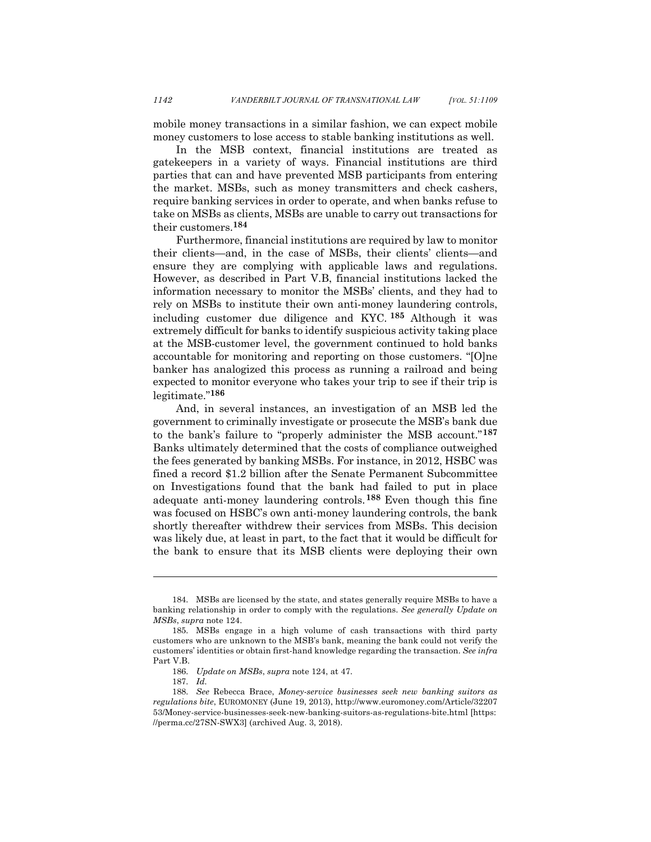mobile money transactions in a similar fashion, we can expect mobile money customers to lose access to stable banking institutions as well.

In the MSB context, financial institutions are treated as gatekeepers in a variety of ways. Financial institutions are third parties that can and have prevented MSB participants from entering the market. MSBs, such as money transmitters and check cashers, require banking services in order to operate, and when banks refuse to take on MSBs as clients, MSBs are unable to carry out transactions for their customers.**<sup>184</sup>**

Furthermore, financial institutions are required by law to monitor their clients—and, in the case of MSBs, their clients' clients—and ensure they are complying with applicable laws and regulations. However, as described in Part V.B, financial institutions lacked the information necessary to monitor the MSBs' clients, and they had to rely on MSBs to institute their own anti-money laundering controls, including customer due diligence and KYC. **<sup>185</sup>** Although it was extremely difficult for banks to identify suspicious activity taking place at the MSB-customer level, the government continued to hold banks accountable for monitoring and reporting on those customers. "[O]ne banker has analogized this process as running a railroad and being expected to monitor everyone who takes your trip to see if their trip is legitimate."**<sup>186</sup>**

And, in several instances, an investigation of an MSB led the government to criminally investigate or prosecute the MSB's bank due to the bank's failure to "properly administer the MSB account."**<sup>187</sup>** Banks ultimately determined that the costs of compliance outweighed the fees generated by banking MSBs. For instance, in 2012, HSBC was fined a record \$1.2 billion after the Senate Permanent Subcommittee on Investigations found that the bank had failed to put in place adequate anti-money laundering controls.**<sup>188</sup>** Even though this fine was focused on HSBC's own anti-money laundering controls, the bank shortly thereafter withdrew their services from MSBs. This decision was likely due, at least in part, to the fact that it would be difficult for the bank to ensure that its MSB clients were deploying their own

<sup>184.</sup> MSBs are licensed by the state, and states generally require MSBs to have a banking relationship in order to comply with the regulations. *See generally Update on MSBs*, *supra* note 124.

<sup>185.</sup> MSBs engage in a high volume of cash transactions with third party customers who are unknown to the MSB's bank, meaning the bank could not verify the customers' identities or obtain first-hand knowledge regarding the transaction. *See infra* Part V.B.

<sup>186.</sup> *Update on MSBs*, *supra* note 124, at 47.

<sup>187.</sup> *Id.*

<sup>188.</sup> *See* Rebecca Brace, *Money-service businesses seek new banking suitors as regulations bite*, EUROMONEY (June 19, 2013), http://www.euromoney.com/Article/32207 53/Money-service-businesses-seek-new-banking-suitors-as-regulations-bite.html [https: //perma.cc/27SN-SWX3] (archived Aug. 3, 2018).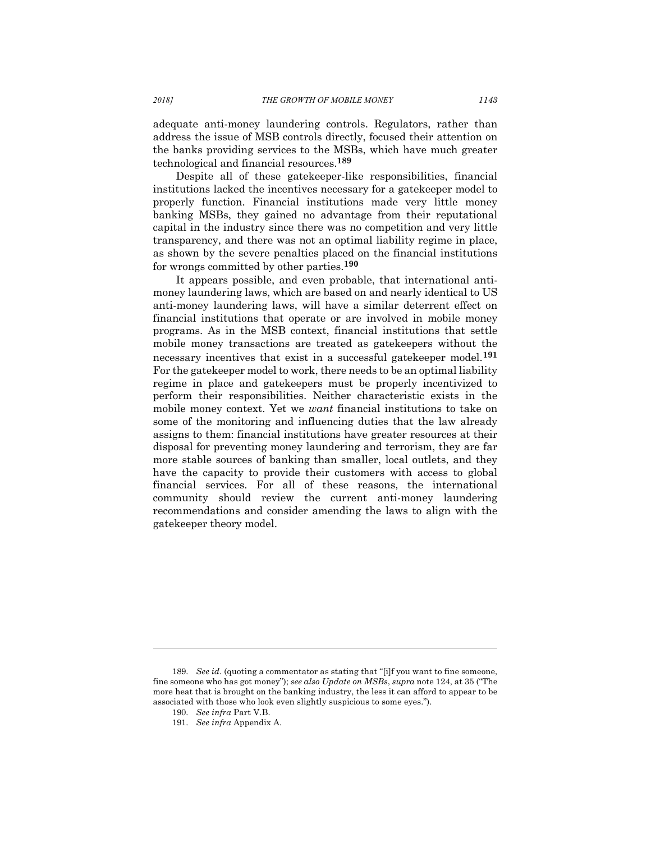adequate anti-money laundering controls. Regulators, rather than address the issue of MSB controls directly, focused their attention on the banks providing services to the MSBs, which have much greater technological and financial resources.**<sup>189</sup>**

Despite all of these gatekeeper-like responsibilities, financial institutions lacked the incentives necessary for a gatekeeper model to properly function. Financial institutions made very little money banking MSBs, they gained no advantage from their reputational capital in the industry since there was no competition and very little transparency, and there was not an optimal liability regime in place, as shown by the severe penalties placed on the financial institutions for wrongs committed by other parties. **190**

It appears possible, and even probable, that international antimoney laundering laws, which are based on and nearly identical to US anti-money laundering laws, will have a similar deterrent effect on financial institutions that operate or are involved in mobile money programs. As in the MSB context, financial institutions that settle mobile money transactions are treated as gatekeepers without the necessary incentives that exist in a successful gatekeeper model.**<sup>191</sup>** For the gatekeeper model to work, there needs to be an optimal liability regime in place and gatekeepers must be properly incentivized to perform their responsibilities. Neither characteristic exists in the mobile money context. Yet we *want* financial institutions to take on some of the monitoring and influencing duties that the law already assigns to them: financial institutions have greater resources at their disposal for preventing money laundering and terrorism, they are far more stable sources of banking than smaller, local outlets, and they have the capacity to provide their customers with access to global financial services. For all of these reasons, the international community should review the current anti-money laundering recommendations and consider amending the laws to align with the gatekeeper theory model.

<sup>189.</sup> *See id*. (quoting a commentator as stating that "[i]f you want to fine someone, fine someone who has got money"); *see also Update on MSBs*, *supra* note 124, at 35 ("The more heat that is brought on the banking industry, the less it can afford to appear to be associated with those who look even slightly suspicious to some eyes.").

<sup>190.</sup> *See infra* Part V.B.

<sup>191.</sup> *See infra* Appendix A.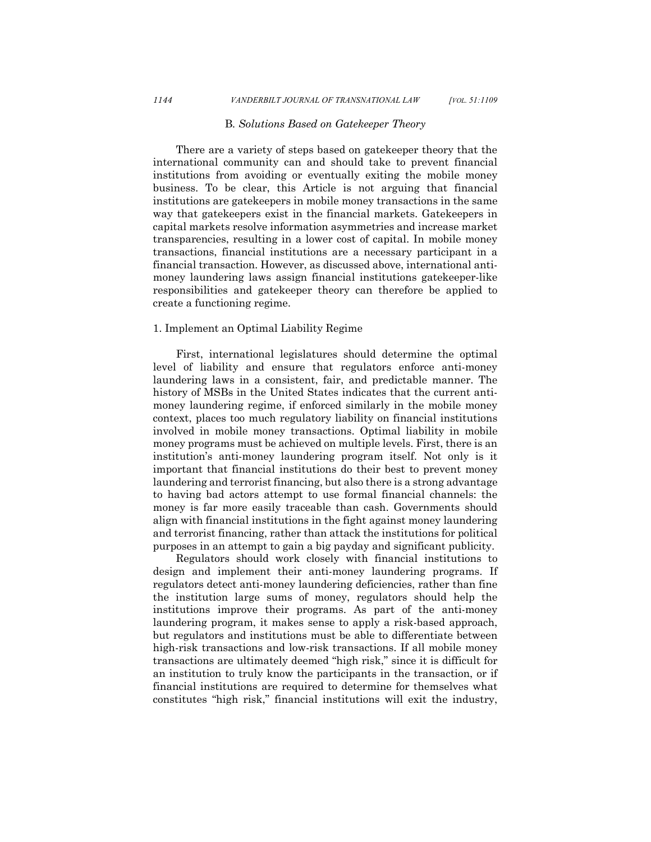#### B*. Solutions Based on Gatekeeper Theory*

There are a variety of steps based on gatekeeper theory that the international community can and should take to prevent financial institutions from avoiding or eventually exiting the mobile money business. To be clear, this Article is not arguing that financial institutions are gatekeepers in mobile money transactions in the same way that gatekeepers exist in the financial markets. Gatekeepers in capital markets resolve information asymmetries and increase market transparencies, resulting in a lower cost of capital. In mobile money transactions, financial institutions are a necessary participant in a financial transaction. However, as discussed above, international antimoney laundering laws assign financial institutions gatekeeper-like responsibilities and gatekeeper theory can therefore be applied to create a functioning regime.

#### 1. Implement an Optimal Liability Regime

First, international legislatures should determine the optimal level of liability and ensure that regulators enforce anti-money laundering laws in a consistent, fair, and predictable manner. The history of MSBs in the United States indicates that the current antimoney laundering regime, if enforced similarly in the mobile money context, places too much regulatory liability on financial institutions involved in mobile money transactions. Optimal liability in mobile money programs must be achieved on multiple levels. First, there is an institution's anti-money laundering program itself. Not only is it important that financial institutions do their best to prevent money laundering and terrorist financing, but also there is a strong advantage to having bad actors attempt to use formal financial channels: the money is far more easily traceable than cash. Governments should align with financial institutions in the fight against money laundering and terrorist financing, rather than attack the institutions for political purposes in an attempt to gain a big payday and significant publicity.

Regulators should work closely with financial institutions to design and implement their anti-money laundering programs. If regulators detect anti-money laundering deficiencies, rather than fine the institution large sums of money, regulators should help the institutions improve their programs. As part of the anti-money laundering program, it makes sense to apply a risk-based approach, but regulators and institutions must be able to differentiate between high-risk transactions and low-risk transactions. If all mobile money transactions are ultimately deemed "high risk," since it is difficult for an institution to truly know the participants in the transaction, or if financial institutions are required to determine for themselves what constitutes "high risk," financial institutions will exit the industry,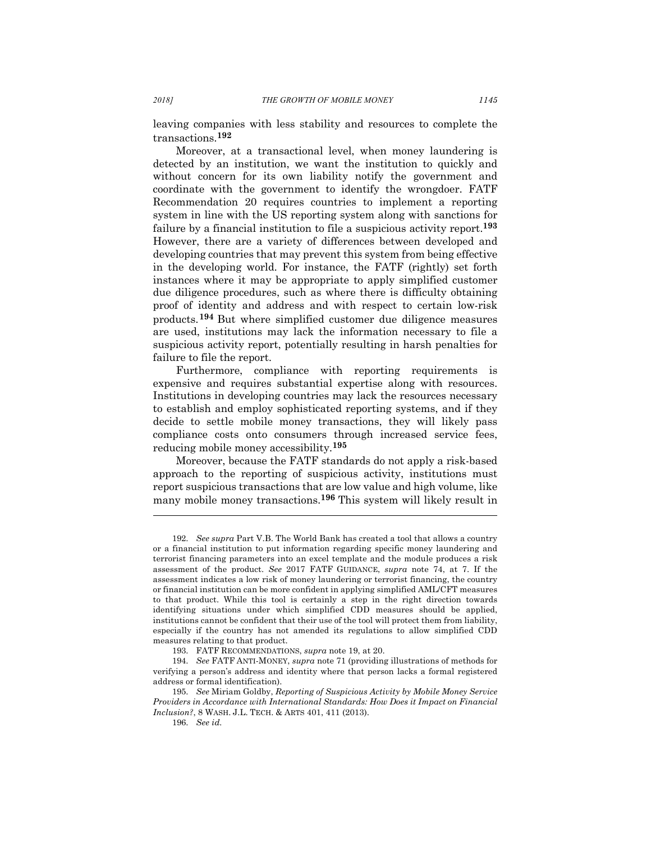leaving companies with less stability and resources to complete the transactions.**<sup>192</sup>**

Moreover, at a transactional level, when money laundering is detected by an institution, we want the institution to quickly and without concern for its own liability notify the government and coordinate with the government to identify the wrongdoer. FATF Recommendation 20 requires countries to implement a reporting system in line with the US reporting system along with sanctions for failure by a financial institution to file a suspicious activity report.**<sup>193</sup>** However, there are a variety of differences between developed and developing countries that may prevent this system from being effective in the developing world. For instance, the FATF (rightly) set forth instances where it may be appropriate to apply simplified customer due diligence procedures, such as where there is difficulty obtaining proof of identity and address and with respect to certain low-risk products.**<sup>194</sup>** But where simplified customer due diligence measures are used, institutions may lack the information necessary to file a suspicious activity report, potentially resulting in harsh penalties for failure to file the report.

Furthermore, compliance with reporting requirements is expensive and requires substantial expertise along with resources. Institutions in developing countries may lack the resources necessary to establish and employ sophisticated reporting systems, and if they decide to settle mobile money transactions, they will likely pass compliance costs onto consumers through increased service fees, reducing mobile money accessibility.**<sup>195</sup>**

Moreover, because the FATF standards do not apply a risk-based approach to the reporting of suspicious activity, institutions must report suspicious transactions that are low value and high volume, like many mobile money transactions.**<sup>196</sup>** This system will likely result in

<sup>192.</sup> *See supra* Part V.B. The World Bank has created a tool that allows a country or a financial institution to put information regarding specific money laundering and terrorist financing parameters into an excel template and the module produces a risk assessment of the product. *See* 2017 FATF GUIDANCE, *supra* note 74, at 7. If the assessment indicates a low risk of money laundering or terrorist financing, the country or financial institution can be more confident in applying simplified AML/CFT measures to that product. While this tool is certainly a step in the right direction towards identifying situations under which simplified CDD measures should be applied, institutions cannot be confident that their use of the tool will protect them from liability, especially if the country has not amended its regulations to allow simplified CDD measures relating to that product.

<sup>193.</sup> FATF RECOMMENDATIONS, *supra* note 19, at 20.

<sup>194.</sup> *See* FATF ANTI-MONEY, *supra* note 71 (providing illustrations of methods for verifying a person's address and identity where that person lacks a formal registered address or formal identification).

<sup>195.</sup> *See* Miriam Goldby, *Reporting of Suspicious Activity by Mobile Money Service Providers in Accordance with International Standards: How Does it Impact on Financial Inclusion?*, 8 WASH. J.L. TECH. & ARTS 401, 411 (2013).

<sup>196.</sup> *See id.*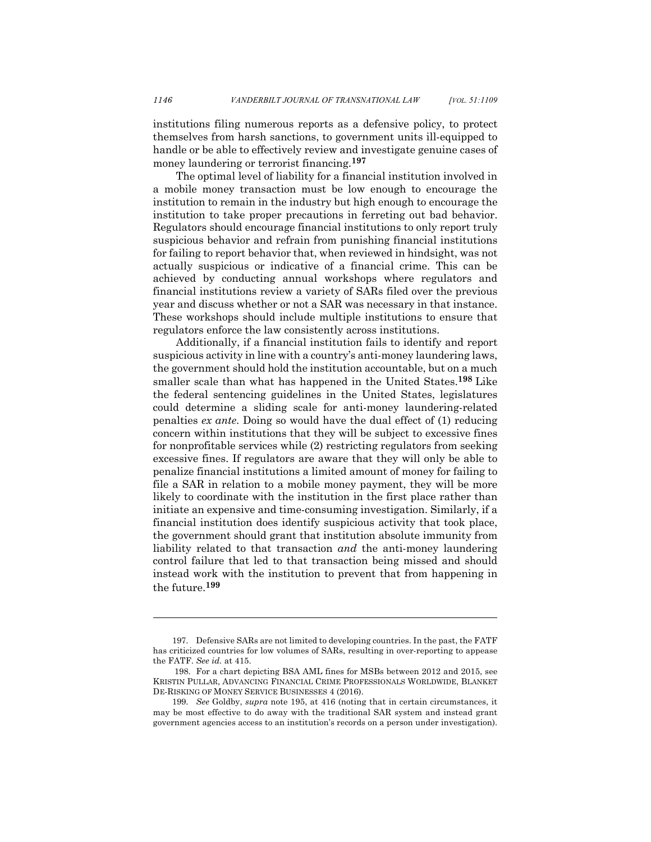institutions filing numerous reports as a defensive policy, to protect themselves from harsh sanctions, to government units ill-equipped to handle or be able to effectively review and investigate genuine cases of money laundering or terrorist financing.**<sup>197</sup>**

The optimal level of liability for a financial institution involved in a mobile money transaction must be low enough to encourage the institution to remain in the industry but high enough to encourage the institution to take proper precautions in ferreting out bad behavior. Regulators should encourage financial institutions to only report truly suspicious behavior and refrain from punishing financial institutions for failing to report behavior that, when reviewed in hindsight, was not actually suspicious or indicative of a financial crime. This can be achieved by conducting annual workshops where regulators and financial institutions review a variety of SARs filed over the previous year and discuss whether or not a SAR was necessary in that instance. These workshops should include multiple institutions to ensure that regulators enforce the law consistently across institutions.

Additionally, if a financial institution fails to identify and report suspicious activity in line with a country's anti-money laundering laws, the government should hold the institution accountable, but on a much smaller scale than what has happened in the United States.**<sup>198</sup>** Like the federal sentencing guidelines in the United States, legislatures could determine a sliding scale for anti-money laundering-related penalties *ex ante*. Doing so would have the dual effect of (1) reducing concern within institutions that they will be subject to excessive fines for nonprofitable services while (2) restricting regulators from seeking excessive fines. If regulators are aware that they will only be able to penalize financial institutions a limited amount of money for failing to file a SAR in relation to a mobile money payment, they will be more likely to coordinate with the institution in the first place rather than initiate an expensive and time-consuming investigation. Similarly, if a financial institution does identify suspicious activity that took place, the government should grant that institution absolute immunity from liability related to that transaction *and* the anti-money laundering control failure that led to that transaction being missed and should instead work with the institution to prevent that from happening in the future.**<sup>199</sup>**

<sup>197.</sup> Defensive SARs are not limited to developing countries. In the past, the FATF has criticized countries for low volumes of SARs, resulting in over-reporting to appease the FATF. *See id.* at 415.

<sup>198.</sup> For a chart depicting BSA AML fines for MSBs between 2012 and 2015, see KRISTIN PULLAR, ADVANCING FINANCIAL CRIME PROFESSIONALS WORLDWIDE, BLANKET DE-RISKING OF MONEY SERVICE BUSINESSES 4 (2016).

<sup>199.</sup> *See* Goldby, *supra* note 195, at 416 (noting that in certain circumstances, it may be most effective to do away with the traditional SAR system and instead grant government agencies access to an institution's records on a person under investigation).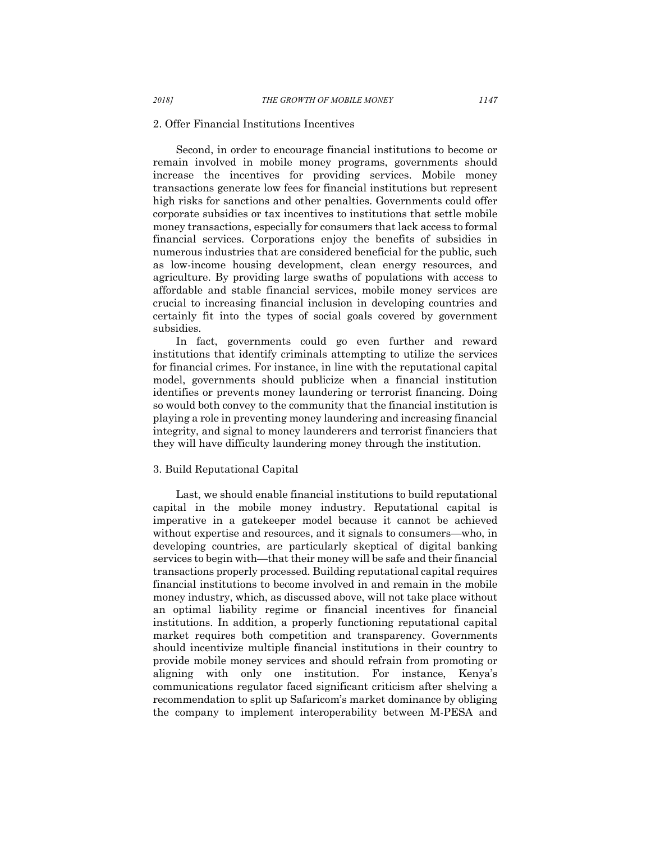## 2. Offer Financial Institutions Incentives

Second, in order to encourage financial institutions to become or remain involved in mobile money programs, governments should increase the incentives for providing services. Mobile money transactions generate low fees for financial institutions but represent high risks for sanctions and other penalties. Governments could offer corporate subsidies or tax incentives to institutions that settle mobile money transactions, especially for consumers that lack access to formal financial services. Corporations enjoy the benefits of subsidies in numerous industries that are considered beneficial for the public, such as low-income housing development, clean energy resources, and agriculture. By providing large swaths of populations with access to affordable and stable financial services, mobile money services are crucial to increasing financial inclusion in developing countries and certainly fit into the types of social goals covered by government subsidies.

In fact, governments could go even further and reward institutions that identify criminals attempting to utilize the services for financial crimes. For instance, in line with the reputational capital model, governments should publicize when a financial institution identifies or prevents money laundering or terrorist financing. Doing so would both convey to the community that the financial institution is playing a role in preventing money laundering and increasing financial integrity, and signal to money launderers and terrorist financiers that they will have difficulty laundering money through the institution.

#### 3. Build Reputational Capital

Last, we should enable financial institutions to build reputational capital in the mobile money industry. Reputational capital is imperative in a gatekeeper model because it cannot be achieved without expertise and resources, and it signals to consumers—who, in developing countries, are particularly skeptical of digital banking services to begin with—that their money will be safe and their financial transactions properly processed. Building reputational capital requires financial institutions to become involved in and remain in the mobile money industry, which, as discussed above, will not take place without an optimal liability regime or financial incentives for financial institutions. In addition, a properly functioning reputational capital market requires both competition and transparency. Governments should incentivize multiple financial institutions in their country to provide mobile money services and should refrain from promoting or aligning with only one institution. For instance, Kenya's communications regulator faced significant criticism after shelving a recommendation to split up Safaricom's market dominance by obliging the company to implement interoperability between M-PESA and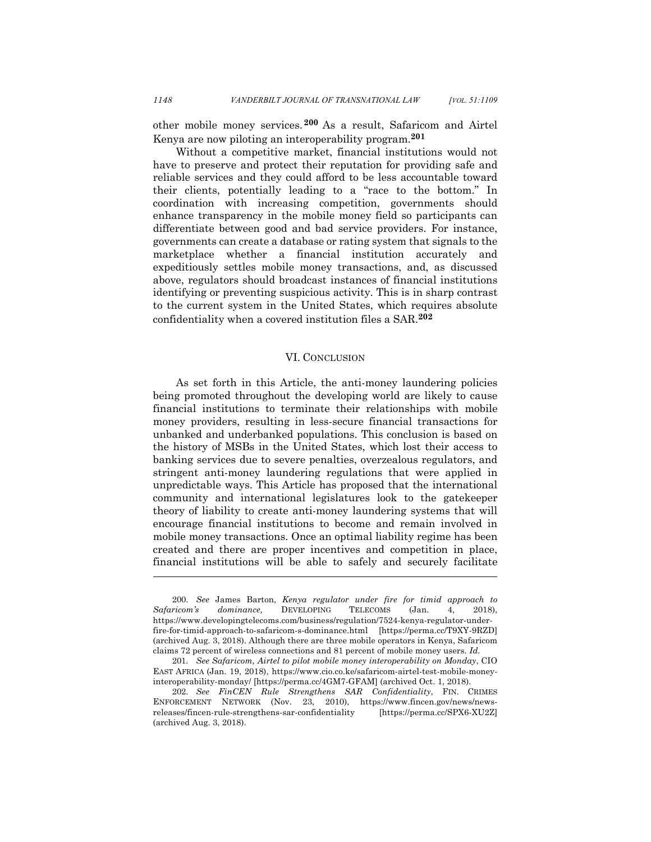other mobile money services. **<sup>200</sup>** As a result, Safaricom and Airtel Kenya are now piloting an interoperability program.**<sup>201</sup>**

Without a competitive market, financial institutions would not have to preserve and protect their reputation for providing safe and reliable services and they could afford to be less accountable toward their clients, potentially leading to a "race to the bottom." In coordination with increasing competition, governments should enhance transparency in the mobile money field so participants can differentiate between good and bad service providers. For instance, governments can create a database or rating system that signals to the marketplace whether a financial institution accurately and expeditiously settles mobile money transactions, and, as discussed above, regulators should broadcast instances of financial institutions identifying or preventing suspicious activity. This is in sharp contrast to the current system in the United States, which requires absolute confidentiality when a covered institution files a SAR. **202**

#### VI. CONCLUSION

As set forth in this Article, the anti-money laundering policies being promoted throughout the developing world are likely to cause financial institutions to terminate their relationships with mobile money providers, resulting in less-secure financial transactions for unbanked and underbanked populations. This conclusion is based on the history of MSBs in the United States, which lost their access to banking services due to severe penalties, overzealous regulators, and stringent anti-money laundering regulations that were applied in unpredictable ways. This Article has proposed that the international community and international legislatures look to the gatekeeper theory of liability to create anti-money laundering systems that will encourage financial institutions to become and remain involved in mobile money transactions. Once an optimal liability regime has been created and there are proper incentives and competition in place, financial institutions will be able to safely and securely facilitate

<sup>200.</sup> *See* James Barton, *Kenya regulator under fire for timid approach to Safaricom's dominance,* DEVELOPING TELECOMS (Jan. 4, 2018), https://www.developingtelecoms.com/business/regulation/7524-kenya-regulator-underfire-for-timid-approach-to-safaricom-s-dominance.html [https://perma.cc/T9XY-9RZD] (archived Aug. 3, 2018). Although there are three mobile operators in Kenya, Safaricom claims 72 percent of wireless connections and 81 percent of mobile money users. *Id.*

<sup>201.</sup> *See Safaricom, Airtel to pilot mobile money interoperability on Monday*, CIO EAST AFRICA (Jan. 19, 2018), https://www.cio.co.ke/safaricom-airtel-test-mobile-moneyinteroperability-monday/ [https://perma.cc/4GM7-GFAM] (archived Oct. 1, 2018).

<sup>202.</sup> *See FinCEN Rule Strengthens SAR Confidentiality*, FIN. CRIMES ENFORCEMENT NETWORK (Nov. 23, 2010), https://www.fincen.gov/news/newsreleases/fincen-rule-strengthens-sar-confidentiality [https://perma.cc/SPX6-XU2Z] (archived Aug. 3, 2018).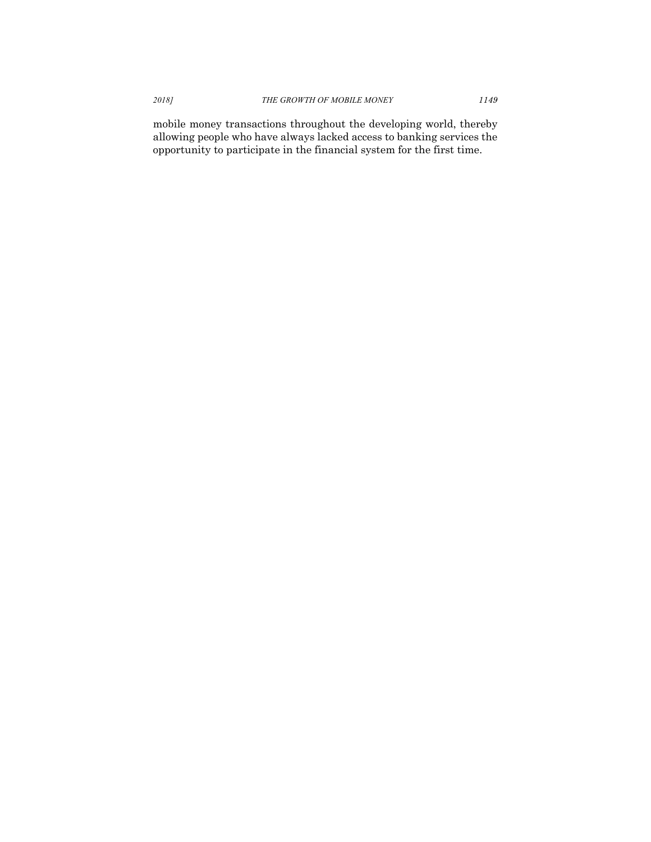mobile money transactions throughout the developing world, thereby allowing people who have always lacked access to banking services the opportunity to participate in the financial system for the first time.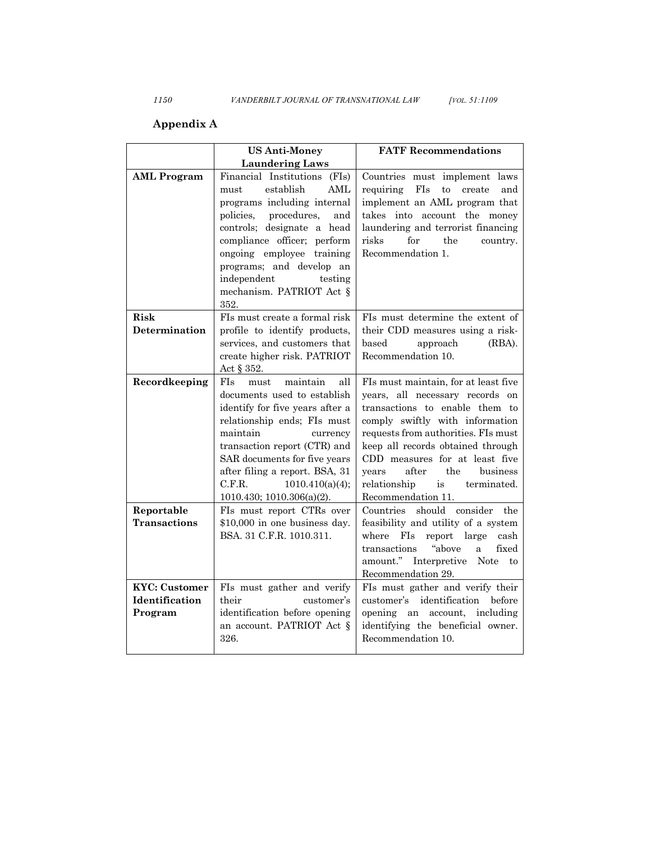## **Appendix A**

|                       | <b>US Anti-Money</b>                                                                                                                                                                                                                                                                                                            | <b>FATF Recommendations</b>                                                                                                                                                                                                                                                                                                                                |
|-----------------------|---------------------------------------------------------------------------------------------------------------------------------------------------------------------------------------------------------------------------------------------------------------------------------------------------------------------------------|------------------------------------------------------------------------------------------------------------------------------------------------------------------------------------------------------------------------------------------------------------------------------------------------------------------------------------------------------------|
|                       | <b>Laundering Laws</b>                                                                                                                                                                                                                                                                                                          |                                                                                                                                                                                                                                                                                                                                                            |
| <b>AML</b> Program    | Financial Institutions<br>(FIs)<br>establish<br>AML<br>must<br>programs including internal<br>procedures,<br>policies,<br>and<br>controls; designate a head<br>compliance officer; perform<br>ongoing employee<br>training<br>programs; and develop an<br>independent<br>testing<br>mechanism. PATRIOT Act §<br>352.            | Countries must implement laws<br>FIs<br>to<br>requiring<br>create<br>and<br>implement an AML program that<br>takes into account the money<br>laundering and terrorist financing<br>for<br>the<br>risks<br>country.<br>Recommendation 1.                                                                                                                    |
| Risk                  | FIs must create a formal risk                                                                                                                                                                                                                                                                                                   | FIs must determine the extent of                                                                                                                                                                                                                                                                                                                           |
| Determination         | profile to identify products,<br>services, and customers that<br>create higher risk. PATRIOT<br>Act $\S 352$ .                                                                                                                                                                                                                  | their CDD measures using a risk-<br>based<br>approach<br>(RBA).<br>Recommendation 10.                                                                                                                                                                                                                                                                      |
| Recordkeeping         | FI <sub>s</sub><br>maintain<br>all<br>must<br>documents used to establish<br>identify for five years after a<br>relationship ends; FIs must<br>maintain<br>currency<br>transaction report (CTR) and<br>SAR documents for five years<br>after filing a report. BSA, 31<br>C.F.R.<br>1010.410(a)(4);<br>1010.430; 1010.306(a)(2). | FIs must maintain, for at least five<br>years, all necessary records on<br>transactions to enable them to<br>comply swiftly with information<br>requests from authorities. FIs must<br>keep all records obtained through<br>CDD measures for at least five<br>the<br>business<br>years<br>after<br>relationship<br>is<br>terminated.<br>Recommendation 11. |
| Reportable            | FIs must report CTRs over                                                                                                                                                                                                                                                                                                       | Countries should consider<br>the                                                                                                                                                                                                                                                                                                                           |
| <b>Transactions</b>   | \$10,000 in one business day.<br>BSA. 31 C.F.R. 1010.311.                                                                                                                                                                                                                                                                       | feasibility and utility of a system<br>where<br>FI <sub>s</sub><br>report<br>large<br>cash<br>"above<br>fixed<br>transactions<br>a<br>amount."<br>Interpretive<br><b>Note</b><br>to<br>Recommendation 29.                                                                                                                                                  |
| <b>KYC</b> : Customer | FIs must gather and verify                                                                                                                                                                                                                                                                                                      | FIs must gather and verify their                                                                                                                                                                                                                                                                                                                           |
| Identification        | their<br>customer's                                                                                                                                                                                                                                                                                                             | customer's identification before                                                                                                                                                                                                                                                                                                                           |
| Program               | identification before opening<br>an account. PATRIOT Act §<br>326.                                                                                                                                                                                                                                                              | opening an account, including<br>identifying the beneficial owner.<br>Recommendation 10.                                                                                                                                                                                                                                                                   |